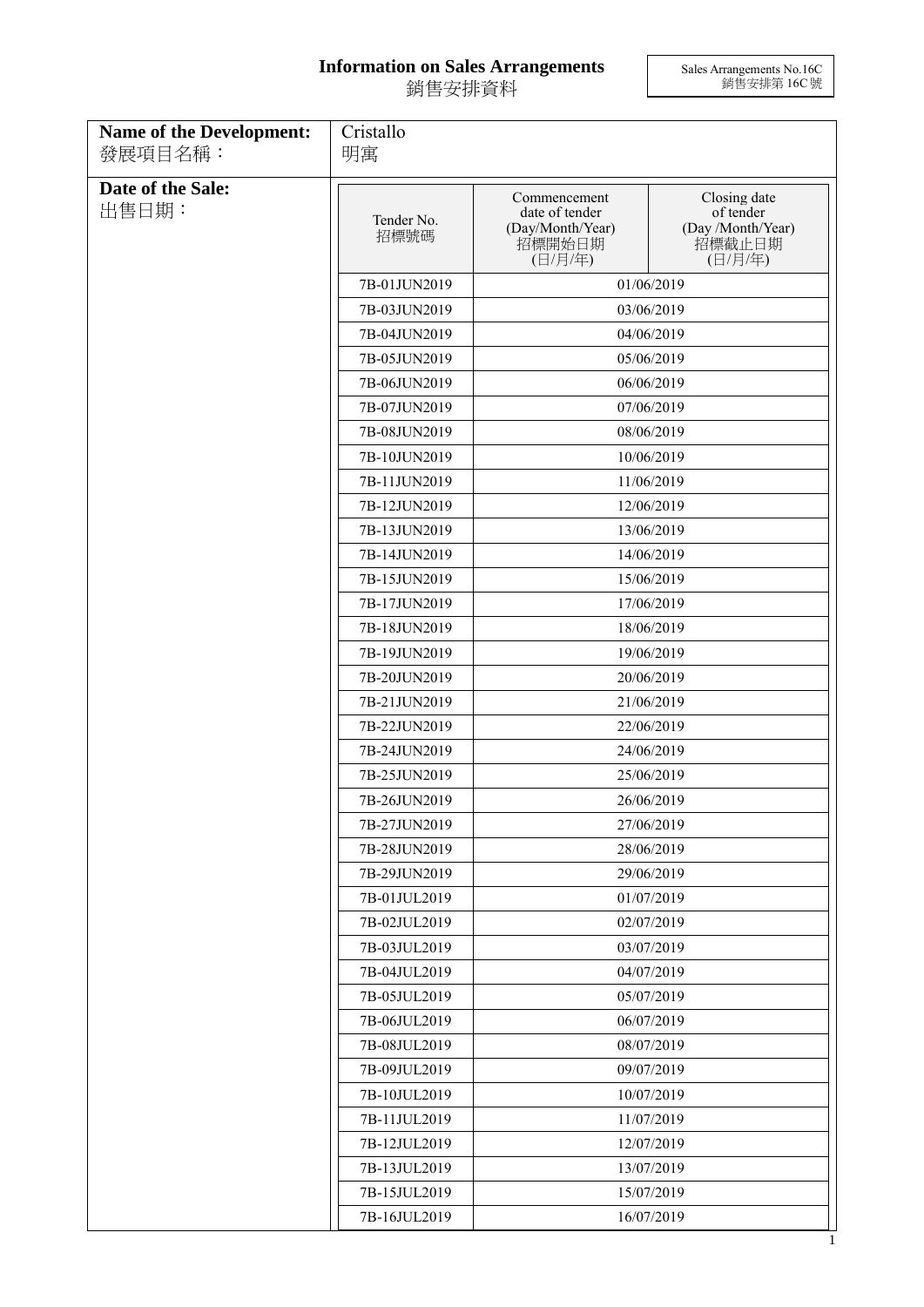## **Information on Sales Arrangements** 銷售安排資料

Sales Arrangements No.16C 銷售安排第 16C 號

| <b>Name of the Development:</b> | Cristallo                                |                                                                         |                                                                     |
|---------------------------------|------------------------------------------|-------------------------------------------------------------------------|---------------------------------------------------------------------|
| 發展項目名稱:                         | 明寓                                       |                                                                         |                                                                     |
| Date of the Sale:<br>出售日期:      | Tender No.<br>招標號碼                       | Commencement<br>date of tender<br>(Day/Month/Year)<br>招標開始日期<br>(日/月/年) | Closing date<br>of tender<br>(Day /Month/Year)<br>招標截止日期<br>(日/月/年) |
|                                 | 7B-01JUN2019                             |                                                                         | 01/06/2019                                                          |
|                                 | 7B-03JUN2019                             |                                                                         | 03/06/2019                                                          |
|                                 | 7B-04JUN2019                             |                                                                         | 04/06/2019                                                          |
|                                 | 7B-05JUN2019                             |                                                                         | 05/06/2019                                                          |
|                                 | 7B-06JUN2019                             |                                                                         | 06/06/2019                                                          |
|                                 | 7B-07JUN2019                             |                                                                         | 07/06/2019                                                          |
|                                 | 7B-08JUN2019                             |                                                                         | 08/06/2019                                                          |
|                                 | 7B-10JUN2019                             |                                                                         | 10/06/2019                                                          |
|                                 | 7B-11JUN2019                             |                                                                         | 11/06/2019                                                          |
|                                 | 7B-12JUN2019                             |                                                                         | 12/06/2019                                                          |
|                                 | 7B-13JUN2019                             |                                                                         | 13/06/2019                                                          |
|                                 | 7B-14JUN2019                             |                                                                         | 14/06/2019                                                          |
|                                 | 7B-15JUN2019                             |                                                                         | 15/06/2019                                                          |
|                                 | 7B-17JUN2019                             |                                                                         | 17/06/2019                                                          |
|                                 | 7B-18JUN2019                             | 18/06/2019                                                              |                                                                     |
|                                 | 7B-19JUN2019                             | 19/06/2019                                                              |                                                                     |
|                                 | 7B-20JUN2019                             | 20/06/2019                                                              |                                                                     |
|                                 | 7B-21JUN2019                             | 21/06/2019                                                              |                                                                     |
|                                 | 7B-22JUN2019                             | 22/06/2019                                                              |                                                                     |
|                                 | 7B-24JUN2019                             | 24/06/2019                                                              |                                                                     |
|                                 | 7B-25JUN2019                             | 25/06/2019                                                              |                                                                     |
|                                 | 7B-26JUN2019                             |                                                                         | 26/06/2019                                                          |
|                                 | 7B-27JUN2019                             |                                                                         | 27/06/2019                                                          |
|                                 | 7B-28JUN2019                             |                                                                         | 28/06/2019                                                          |
|                                 | 7B-29JUN2019                             |                                                                         | 29/06/2019                                                          |
|                                 | 7B-01JUL2019                             |                                                                         | 01/07/2019                                                          |
|                                 | 7B-02JUL2019                             |                                                                         | 02/07/2019                                                          |
|                                 | 7B-03JUL2019                             |                                                                         | 03/07/2019                                                          |
|                                 | 7B-04JUL2019                             |                                                                         | 04/07/2019                                                          |
|                                 | 7B-05JUL2019                             |                                                                         | 05/07/2019                                                          |
|                                 | 7B-06JUL2019                             |                                                                         | 06/07/2019                                                          |
|                                 | 7B-08JUL2019                             |                                                                         | 08/07/2019                                                          |
|                                 | 7B-09JUL2019                             |                                                                         | 09/07/2019                                                          |
|                                 | 7B-10JUL2019                             |                                                                         | 10/07/2019                                                          |
|                                 | 7B-11JUL2019                             |                                                                         | 11/07/2019                                                          |
|                                 | 7B-12JUL2019                             |                                                                         | 12/07/2019                                                          |
|                                 | 7B-13JUL2019                             |                                                                         | 13/07/2019                                                          |
|                                 | 7B-15JUL2019<br>15/07/2019<br>16/07/2019 |                                                                         |                                                                     |
|                                 | 7B-16JUL2019                             |                                                                         |                                                                     |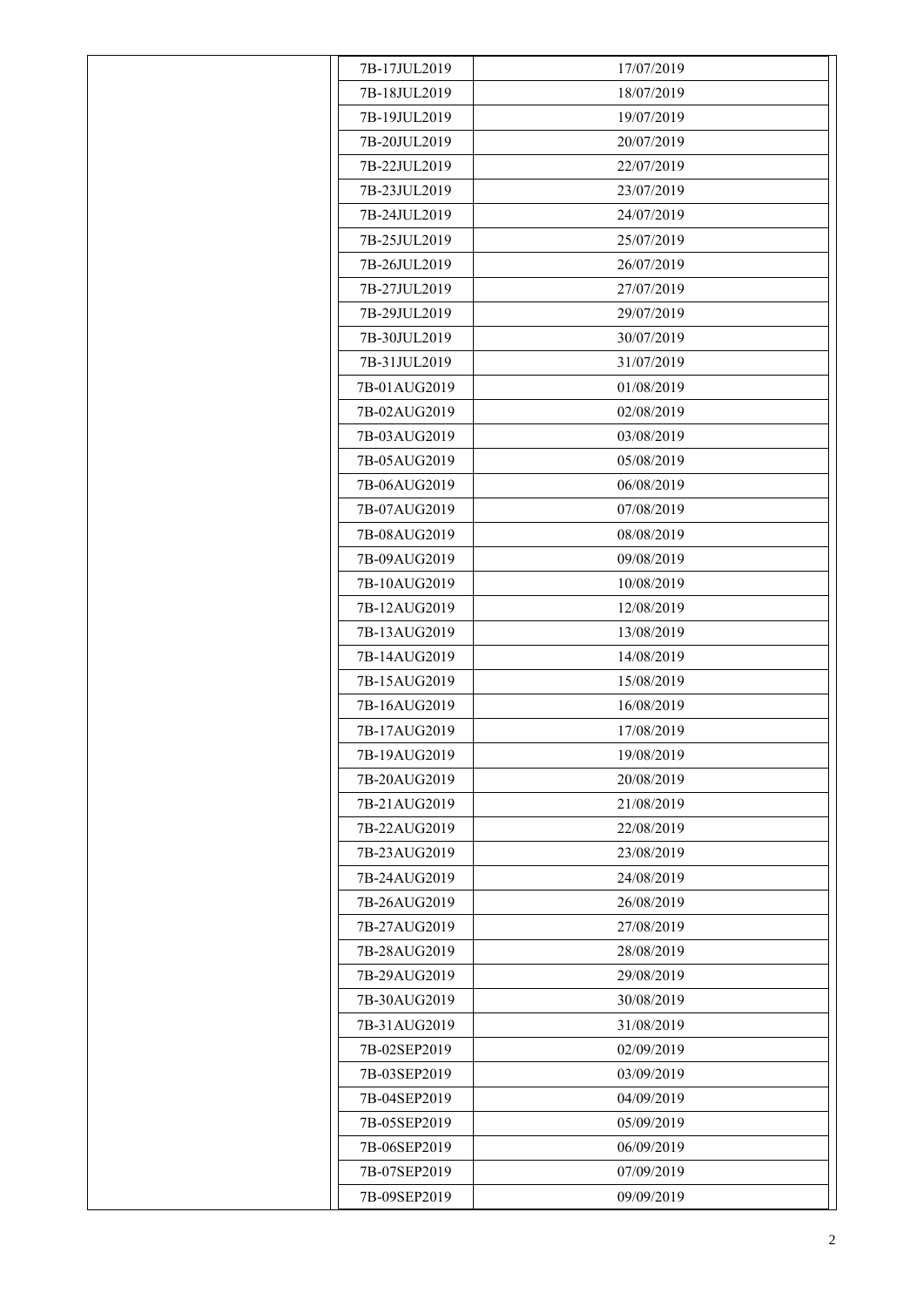| 7B-17JUL2019 | 17/07/2019 |
|--------------|------------|
| 7B-18JUL2019 | 18/07/2019 |
| 7B-19JUL2019 | 19/07/2019 |
| 7B-20JUL2019 | 20/07/2019 |
| 7B-22JUL2019 | 22/07/2019 |
| 7B-23JUL2019 | 23/07/2019 |
| 7B-24JUL2019 | 24/07/2019 |
| 7B-25JUL2019 | 25/07/2019 |
| 7B-26JUL2019 | 26/07/2019 |
| 7B-27JUL2019 | 27/07/2019 |
| 7B-29JUL2019 | 29/07/2019 |
| 7B-30JUL2019 | 30/07/2019 |
| 7B-31JUL2019 | 31/07/2019 |
| 7B-01AUG2019 | 01/08/2019 |
| 7B-02AUG2019 | 02/08/2019 |
| 7B-03AUG2019 | 03/08/2019 |
| 7B-05AUG2019 | 05/08/2019 |
| 7B-06AUG2019 | 06/08/2019 |
| 7B-07AUG2019 | 07/08/2019 |
| 7B-08AUG2019 | 08/08/2019 |
| 7B-09AUG2019 | 09/08/2019 |
| 7B-10AUG2019 | 10/08/2019 |
| 7B-12AUG2019 | 12/08/2019 |
| 7B-13AUG2019 | 13/08/2019 |
| 7B-14AUG2019 | 14/08/2019 |
| 7B-15AUG2019 | 15/08/2019 |
| 7B-16AUG2019 | 16/08/2019 |
| 7B-17AUG2019 | 17/08/2019 |
| 7B-19AUG2019 | 19/08/2019 |
| 7B-20AUG2019 | 20/08/2019 |
| 7B-21AUG2019 | 21/08/2019 |
| 7B-22AUG2019 | 22/08/2019 |
| 7B-23AUG2019 | 23/08/2019 |
| 7B-24AUG2019 | 24/08/2019 |
| 7B-26AUG2019 | 26/08/2019 |
| 7B-27AUG2019 | 27/08/2019 |
| 7B-28AUG2019 | 28/08/2019 |
| 7B-29AUG2019 | 29/08/2019 |
| 7B-30AUG2019 | 30/08/2019 |
| 7B-31AUG2019 | 31/08/2019 |
| 7B-02SEP2019 | 02/09/2019 |
| 7B-03SEP2019 | 03/09/2019 |
| 7B-04SEP2019 | 04/09/2019 |
| 7B-05SEP2019 | 05/09/2019 |
| 7B-06SEP2019 | 06/09/2019 |
| 7B-07SEP2019 | 07/09/2019 |
| 7B-09SEP2019 | 09/09/2019 |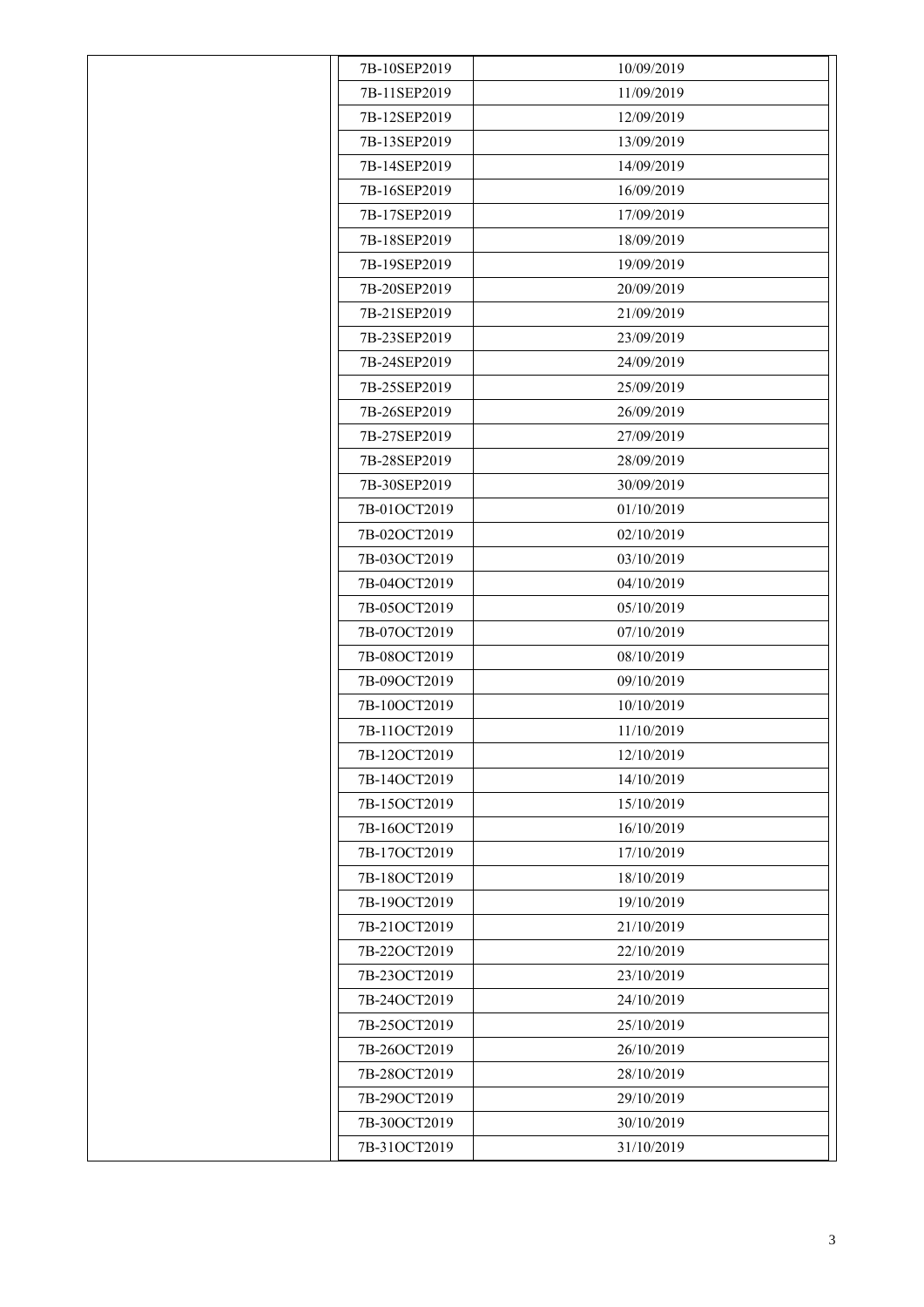| 7B-10SEP2019 | 10/09/2019 |
|--------------|------------|
| 7B-11SEP2019 | 11/09/2019 |
| 7B-12SEP2019 | 12/09/2019 |
| 7B-13SEP2019 | 13/09/2019 |
| 7B-14SEP2019 | 14/09/2019 |
| 7B-16SEP2019 | 16/09/2019 |
| 7B-17SEP2019 | 17/09/2019 |
| 7B-18SEP2019 | 18/09/2019 |
| 7B-19SEP2019 | 19/09/2019 |
| 7B-20SEP2019 | 20/09/2019 |
| 7B-21SEP2019 | 21/09/2019 |
| 7B-23SEP2019 | 23/09/2019 |
| 7B-24SEP2019 | 24/09/2019 |
| 7B-25SEP2019 | 25/09/2019 |
| 7B-26SEP2019 | 26/09/2019 |
| 7B-27SEP2019 | 27/09/2019 |
| 7B-28SEP2019 | 28/09/2019 |
| 7B-30SEP2019 | 30/09/2019 |
| 7B-01OCT2019 | 01/10/2019 |
| 7B-02OCT2019 | 02/10/2019 |
| 7B-03OCT2019 | 03/10/2019 |
| 7B-04OCT2019 | 04/10/2019 |
| 7B-05OCT2019 | 05/10/2019 |
| 7B-07OCT2019 | 07/10/2019 |
| 7B-08OCT2019 | 08/10/2019 |
| 7B-09OCT2019 | 09/10/2019 |
| 7B-10OCT2019 | 10/10/2019 |
| 7B-11OCT2019 | 11/10/2019 |
| 7B-12OCT2019 | 12/10/2019 |
| 7B-14OCT2019 | 14/10/2019 |
| 7B-15OCT2019 | 15/10/2019 |
| 7B-16OCT2019 | 16/10/2019 |
| 7B-17OCT2019 | 17/10/2019 |
| 7B-18OCT2019 | 18/10/2019 |
| 7B-19OCT2019 | 19/10/2019 |
| 7B-21OCT2019 | 21/10/2019 |
| 7B-22OCT2019 | 22/10/2019 |
| 7B-23OCT2019 | 23/10/2019 |
| 7B-24OCT2019 | 24/10/2019 |
| 7B-25OCT2019 | 25/10/2019 |
| 7B-26OCT2019 | 26/10/2019 |
| 7B-28OCT2019 | 28/10/2019 |
| 7B-29OCT2019 | 29/10/2019 |
| 7B-30OCT2019 | 30/10/2019 |
| 7B-31OCT2019 | 31/10/2019 |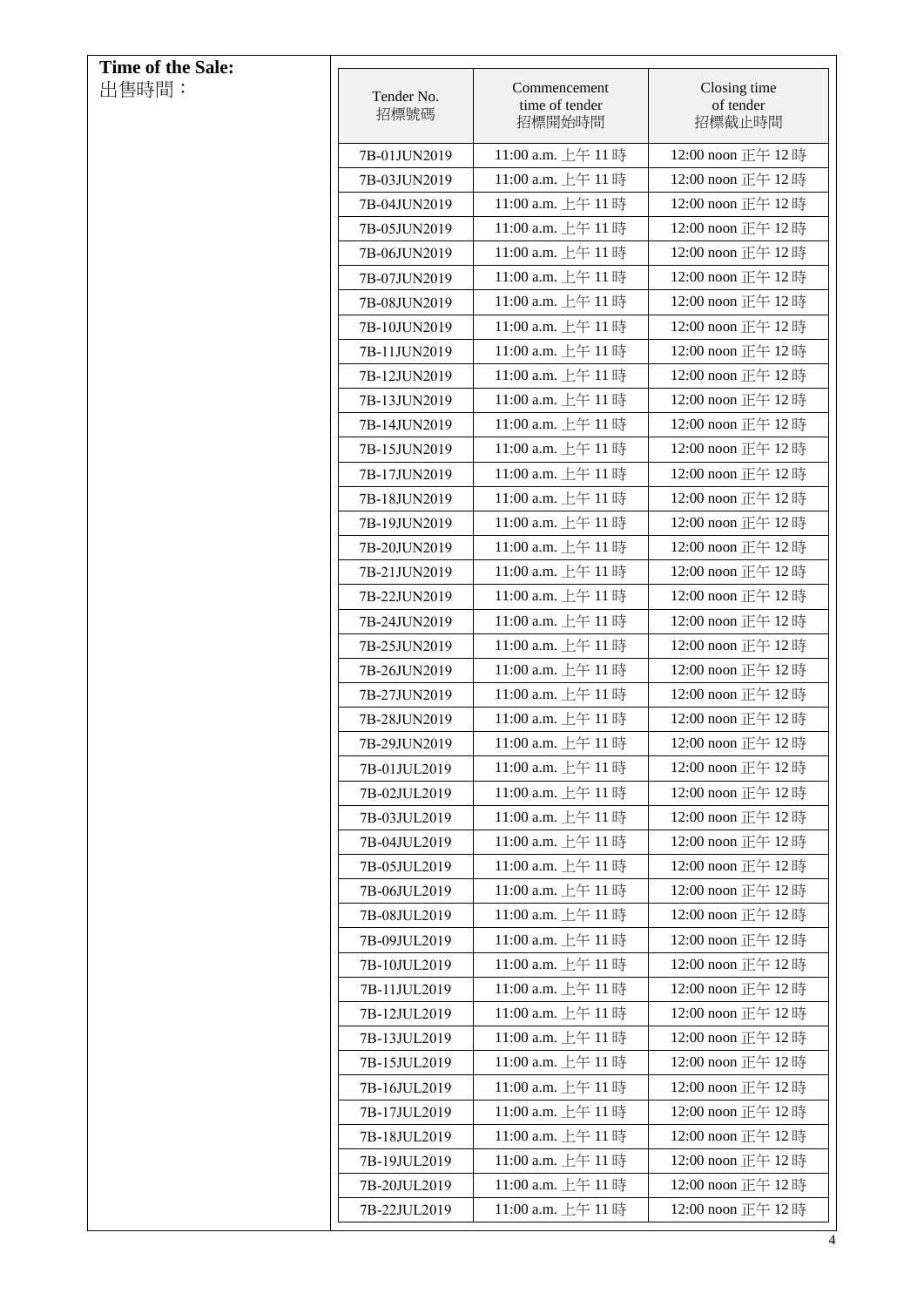| Time of the Sale: |                              |                                          |                                        |
|-------------------|------------------------------|------------------------------------------|----------------------------------------|
| 出售時間:             | Tender No.<br>招標號碼           | Commencement<br>time of tender<br>招標開始時間 | Closing time<br>of tender<br>招標截止時間    |
|                   | 7B-01JUN2019                 | 11:00 a.m. 上午 11時                        | 12:00 noon 正午 12時                      |
|                   | 7B-03JUN2019                 | 11:00 a.m. 上午 11時                        | 12:00 noon 正午 12時                      |
|                   | 7B-04JUN2019                 | 11:00 a.m. 上午 11時                        | 12:00 noon 正午 12時                      |
|                   | 7B-05JUN2019                 | 11:00 a.m. 上午 11時                        | 12:00 noon 正午 12時                      |
|                   | 7B-06JUN2019                 | 11:00 a.m. 上午 11時                        | 12:00 noon 正午 12時                      |
|                   | 7B-07JUN2019                 | 11:00 a.m. 上午 11時                        | 12:00 noon 正午 12時                      |
|                   | 7B-08JUN2019                 | 11:00 a.m. 上午 11時                        | 12:00 noon 正午 12時                      |
|                   | 7B-10JUN2019                 | 11:00 a.m. 上午 11時                        | 12:00 noon 正午 12時                      |
|                   | 7B-11JUN2019                 | 11:00 a.m. 上午 11時                        | 12:00 noon 正午 12時                      |
|                   | 7B-12JUN2019                 | 11:00 a.m. 上午 11時                        | 12:00 noon 正午 12時                      |
|                   | 7B-13JUN2019                 | 11:00 a.m. 上午 11時                        | 12:00 noon 正午 12時                      |
|                   | 7B-14JUN2019                 | 11:00 a.m. 上午 11時                        | 12:00 noon 正午 12時                      |
|                   | 7B-15JUN2019                 | 11:00 a.m. 上午 11時                        | 12:00 noon 正午 12時                      |
|                   | 7B-17JUN2019                 | 11:00 a.m. 上午 11時                        | 12:00 noon 正午 12時                      |
|                   | 7B-18JUN2019                 | 11:00 a.m. 上午 11時                        | 12:00 noon 正午 12時                      |
|                   | 7B-19JUN2019                 | 11:00 a.m. 上午 11時                        | 12:00 noon 正午 12時                      |
|                   | 7B-20JUN2019                 | 11:00 a.m. 上午 11時                        | 12:00 noon 正午 12時                      |
|                   | 7B-21JUN2019                 | 11:00 a.m. 上午 11時                        | 12:00 noon 正午 12時                      |
|                   | 7B-22JUN2019                 | 11:00 a.m. 上午 11時<br>11:00 a.m. 上午 11時   | 12:00 noon 正午 12時                      |
|                   | 7B-24JUN2019                 | 11:00 a.m. 上午 11時                        | 12:00 noon 正午 12時<br>12:00 noon 正午 12時 |
|                   | 7B-25JUN2019<br>7B-26JUN2019 | 11:00 a.m. 上午 11時                        | 12:00 noon 正午 12時                      |
|                   | 7B-27JUN2019                 | 11:00 a.m. 上午 11時                        | 12:00 noon 正午 12時                      |
|                   | 7B-28JUN2019                 | 11:00 a.m. 上午 11時                        | 12:00 noon 正午 12時                      |
|                   | 7B-29JUN2019                 | 11:00 a.m. 上午 11時                        | 12:00 noon 正午 12時                      |
|                   | 7B-01JUL2019                 | 11:00 a.m. 上午 11時                        | 12:00 noon 正午 12時                      |
|                   | 7B-02JUL2019                 | 11:00 a.m. 上午 11時                        | 12:00 noon 正午 12時                      |
|                   | 7B-03JUL2019                 | 11:00 a.m. 上午 11時                        | 12:00 noon 正午 12時                      |
|                   | 7B-04JUL2019                 | 11:00 a.m. 上午 11時                        | 12:00 noon 正午 12時                      |
|                   | 7B-05JUL2019                 | 11:00 a.m. 上午 11時                        | 12:00 noon 正午 12時                      |
|                   | 7B-06JUL2019                 | 11:00 a.m. 上午 11時                        | 12:00 noon 正午 12時                      |
|                   | 7B-08JUL2019                 | 11:00 a.m. 上午 11時                        | 12:00 noon 正午 12時                      |
|                   | 7B-09JUL2019                 | 11:00 a.m. 上午 11時                        | 12:00 noon 正午 12時                      |
|                   | 7B-10JUL2019                 | 11:00 a.m. 上午 11時                        | 12:00 noon 正午 12時                      |
|                   | 7B-11JUL2019                 | 11:00 a.m. 上午 11時                        | 12:00 noon 正午 12時                      |
|                   | 7B-12JUL2019                 | 11:00 a.m. 上午 11時                        | 12:00 noon 正午 12時                      |
|                   | 7B-13JUL2019                 | 11:00 a.m. 上午 11時                        | 12:00 noon 正午 12時                      |
|                   | 7B-15JUL2019                 | 11:00 a.m. 上午 11 時                       | 12:00 noon 正午 12時                      |
|                   | 7B-16JUL2019                 | 11:00 a.m. 上午 11時                        | 12:00 noon 正午 12時                      |
|                   | 7B-17JUL2019                 | 11:00 a.m. 上午 11時                        | 12:00 noon 正午 12時                      |
|                   | 7B-18JUL2019                 | 11:00 a.m. 上午 11時                        | 12:00 noon 正午 12時                      |
|                   | 7B-19JUL2019                 | 11:00 a.m. 上午 11時                        | 12:00 noon 正午 12時                      |
|                   | 7B-20JUL2019                 | 11:00 a.m. 上午 11時                        | 12:00 noon 正午 12時                      |
|                   | 7B-22JUL2019                 | 11:00 a.m. 上午 11時                        | 12:00 noon 正午 12時                      |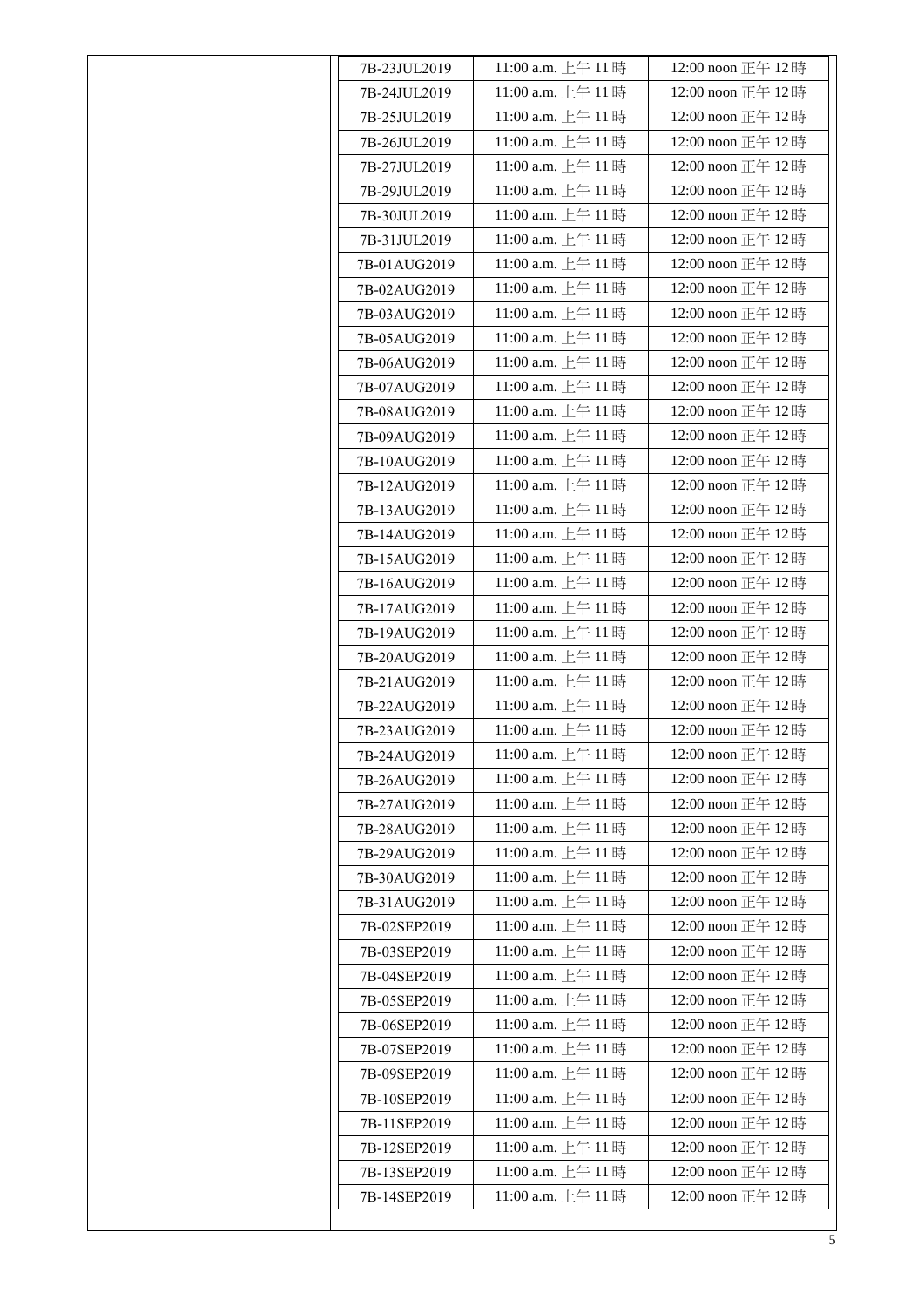| 7B-23JUL2019 | 11:00 a.m. 上午 11 時 | 12:00 noon 正午 12時 |
|--------------|--------------------|-------------------|
| 7B-24JUL2019 | 11:00 a.m. 上午 11時  | 12:00 noon 正午 12時 |
| 7B-25JUL2019 | 11:00 a.m. 上午 11時  | 12:00 noon 正午 12時 |
| 7B-26JUL2019 | 11:00 a.m. 上午 11時  | 12:00 noon 正午 12時 |
| 7B-27JUL2019 | 11:00 a.m. 上午 11時  | 12:00 noon 正午 12時 |
| 7B-29JUL2019 | 11:00 a.m. 上午 11時  | 12:00 noon 正午 12時 |
| 7B-30JUL2019 | 11:00 a.m. 上午 11時  | 12:00 noon 正午 12時 |
| 7B-31JUL2019 | 11:00 a.m. 上午 11時  | 12:00 noon 正午 12時 |
| 7B-01AUG2019 | 11:00 a.m. 上午 11時  | 12:00 noon 正午 12時 |
| 7B-02AUG2019 | 11:00 a.m. 上午 11時  | 12:00 noon 正午 12時 |
| 7B-03AUG2019 | 11:00 a.m. 上午 11時  | 12:00 noon 正午 12時 |
| 7B-05AUG2019 | 11:00 a.m. 上午 11時  | 12:00 noon 正午 12時 |
| 7B-06AUG2019 | 11:00 a.m. 上午 11時  | 12:00 noon 正午 12時 |
| 7B-07AUG2019 | 11:00 a.m. 上午 11時  | 12:00 noon 正午 12時 |
| 7B-08AUG2019 | 11:00 a.m. 上午 11時  | 12:00 noon 正午 12時 |
| 7B-09AUG2019 | 11:00 a.m. 上午 11時  | 12:00 noon 正午 12時 |
| 7B-10AUG2019 | 11:00 a.m. 上午 11時  | 12:00 noon 正午 12時 |
| 7B-12AUG2019 | 11:00 a.m. 上午 11時  | 12:00 noon 正午 12時 |
| 7B-13AUG2019 | 11:00 a.m. 上午 11時  | 12:00 noon 正午 12時 |
| 7B-14AUG2019 | 11:00 a.m. 上午 11 時 | 12:00 noon 正午 12時 |
| 7B-15AUG2019 | 11:00 a.m. 上午 11時  | 12:00 noon 正午 12時 |
| 7B-16AUG2019 | 11:00 a.m. 上午 11時  | 12:00 noon 正午 12時 |
| 7B-17AUG2019 | 11:00 a.m. 上午 11時  | 12:00 noon 正午 12時 |
| 7B-19AUG2019 | 11:00 a.m. 上午 11時  | 12:00 noon 正午 12時 |
| 7B-20AUG2019 | 11:00 a.m. 上午 11時  | 12:00 noon 正午 12時 |
| 7B-21AUG2019 | 11:00 a.m. 上午 11時  | 12:00 noon 正午 12時 |
| 7B-22AUG2019 | 11:00 a.m. 上午 11時  | 12:00 noon 正午 12時 |
| 7B-23AUG2019 | 11:00 a.m. 上午 11時  | 12:00 noon 正午 12時 |
| 7B-24AUG2019 | 11:00 a.m. 上午 11時  | 12:00 noon 正午 12時 |
| 7B-26AUG2019 | 11:00 a.m. 上午 11時  | 12:00 noon 正午 12時 |
| 7B-27AUG2019 | 11:00 a.m. 上午 11 時 | 12:00 noon 正午 12時 |
| 7B-28AUG2019 | 11:00 a.m. 上午 11時  | 12:00 noon 正午 12時 |
| 7B-29AUG2019 | 11:00 a.m. 上午 11時  | 12:00 noon 正午 12時 |
| 7B-30AUG2019 | 11:00 a.m. 上午 11時  | 12:00 noon 正午 12時 |
| 7B-31AUG2019 | 11:00 a.m. 上午 11時  | 12:00 noon 正午 12時 |
| 7B-02SEP2019 | 11:00 a.m. 上午 11時  | 12:00 noon 正午 12時 |
| 7B-03SEP2019 | 11:00 a.m. 上午 11時  | 12:00 noon 正午 12時 |
| 7B-04SEP2019 | 11:00 a.m. 上午 11時  | 12:00 noon 正午 12時 |
| 7B-05SEP2019 | 11:00 a.m. 上午 11時  | 12:00 noon 正午 12時 |
| 7B-06SEP2019 | 11:00 a.m. 上午 11時  | 12:00 noon 正午 12時 |
| 7B-07SEP2019 | 11:00 a.m. 上午 11時  | 12:00 noon 正午 12時 |
| 7B-09SEP2019 | 11:00 a.m. 上午 11時  | 12:00 noon 正午 12時 |
| 7B-10SEP2019 | 11:00 a.m. 上午 11時  | 12:00 noon 正午 12時 |
| 7B-11SEP2019 | 11:00 a.m. 上午 11時  | 12:00 noon 正午 12時 |
| 7B-12SEP2019 | 11:00 a.m. 上午 11時  | 12:00 noon 正午 12時 |
| 7B-13SEP2019 | 11:00 a.m. 上午 11時  | 12:00 noon 正午 12時 |
| 7B-14SEP2019 | 11:00 a.m. 上午 11時  | 12:00 noon 正午 12時 |
|              |                    |                   |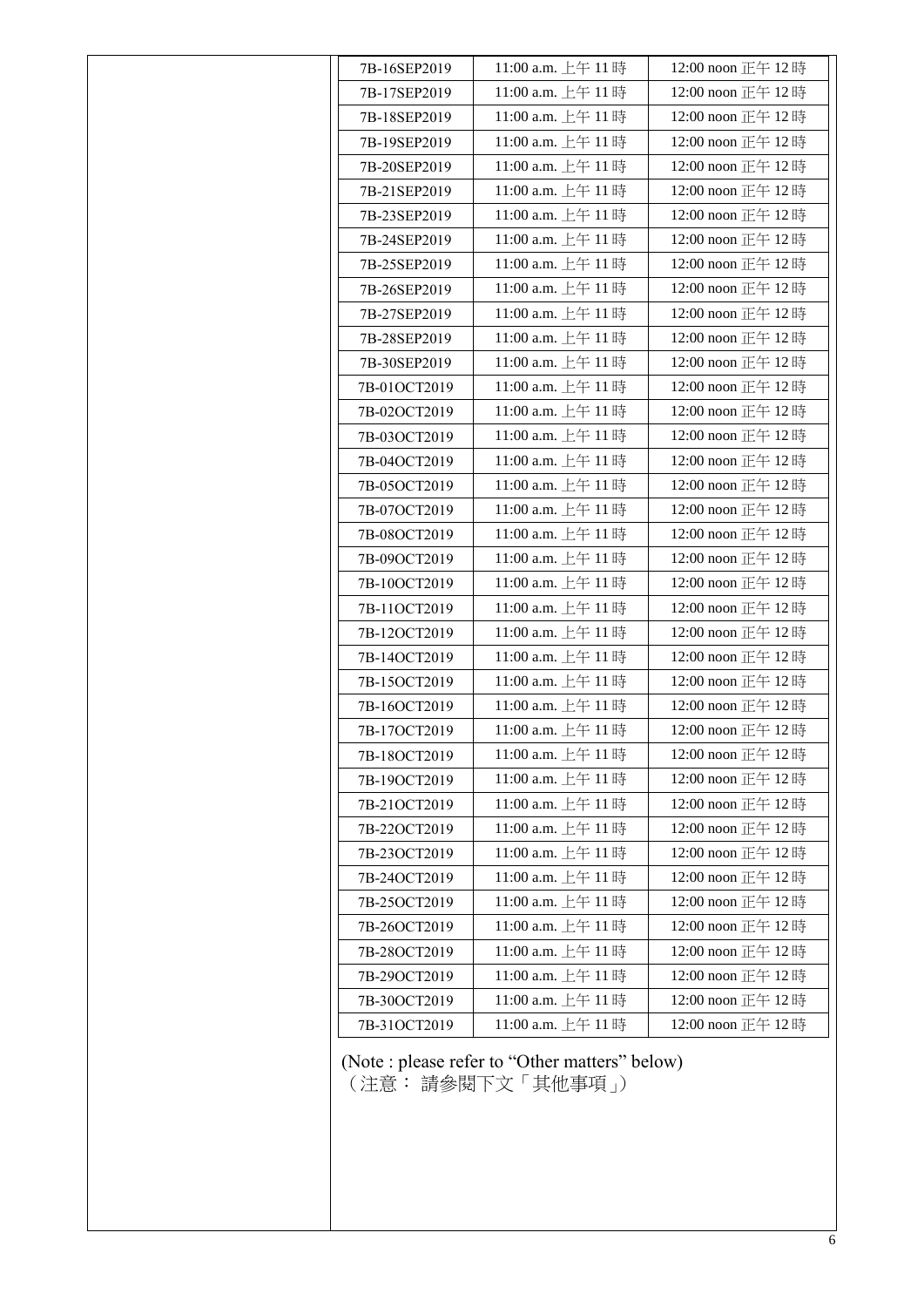| 7B-16SEP2019 | 11:00 a.m. 上午 11 時                                                  | 12:00 noon 正午 12 時 |
|--------------|---------------------------------------------------------------------|--------------------|
| 7B-17SEP2019 | 11:00 a.m. 上午 11時                                                   | 12:00 noon 正午 12時  |
| 7B-18SEP2019 | 11:00 a.m. 上午 11時                                                   | 12:00 noon 正午 12時  |
| 7B-19SEP2019 | 11:00 a.m. 上午 11時                                                   | 12:00 noon 正午 12時  |
| 7B-20SEP2019 | 11:00 a.m. 上午 11時                                                   | 12:00 noon 正午 12時  |
| 7B-21SEP2019 | 11:00 a.m. 上午 11時                                                   | 12:00 noon 正午 12時  |
| 7B-23SEP2019 | 11:00 a.m. 上午 11時                                                   | 12:00 noon 正午 12時  |
| 7B-24SEP2019 | 11:00 a.m. 上午 11 時                                                  | 12:00 noon 正午 12時  |
| 7B-25SEP2019 | 11:00 a.m. 上午 11時                                                   | 12:00 noon 正午 12時  |
| 7B-26SEP2019 | 11:00 a.m. 上午 11時                                                   | 12:00 noon 正午 12時  |
| 7B-27SEP2019 | 11:00 a.m. 上午 11 時                                                  | 12:00 noon 正午 12時  |
| 7B-28SEP2019 | 11:00 a.m. 上午 11時                                                   | 12:00 noon 正午 12時  |
| 7B-30SEP2019 | 11:00 a.m. 上午 11時                                                   | 12:00 noon 正午 12時  |
| 7B-01OCT2019 | 11:00 a.m. 上午 11 時                                                  | 12:00 noon 正午 12時  |
| 7B-02OCT2019 | 11:00 a.m. 上午 11時                                                   | 12:00 noon 正午 12時  |
| 7B-03OCT2019 | 11:00 a.m. 上午 11時                                                   | 12:00 noon 正午 12時  |
| 7B-04OCT2019 | 11:00 a.m. 上午 11 時                                                  | 12:00 noon 正午 12時  |
| 7B-05OCT2019 | 11:00 a.m. 上午 11時                                                   | 12:00 noon 正午 12時  |
| 7B-07OCT2019 | 11:00 a.m. 上午 11時                                                   | 12:00 noon 正午 12時  |
| 7B-08OCT2019 | 11:00 a.m. 上午 11時                                                   | 12:00 noon 正午 12時  |
| 7B-09OCT2019 | 11:00 a.m. 上午 11時                                                   | 12:00 noon 正午 12時  |
| 7B-10OCT2019 | 11:00 a.m. 上午 11 時                                                  | 12:00 noon 正午 12時  |
| 7B-11OCT2019 | 11:00 a.m. 上午 11時                                                   | 12:00 noon 正午 12時  |
| 7B-12OCT2019 | 11:00 a.m. 上午 11時                                                   | 12:00 noon 正午 12時  |
| 7B-14OCT2019 | 11:00 a.m. 上午 11 時                                                  | 12:00 noon 正午 12時  |
| 7B-15OCT2019 | 11:00 a.m. 上午 11時                                                   | 12:00 noon 正午 12時  |
| 7B-16OCT2019 | 11:00 a.m. 上午 11時                                                   | 12:00 noon 正午 12時  |
| 7B-17OCT2019 | 11:00 a.m. 上午 11時                                                   | 12:00 noon 正午 12時  |
| 7B-18OCT2019 | 11:00 a.m. 上午 11時                                                   | 12:00 noon 正午 12時  |
| 7B-19OCT2019 | 11:00 a.m. 上午 11 時                                                  | 12:00 noon 正午 12時  |
| 7B-21OCT2019 | 11:00 a.m. 上午 11時                                                   | 12:00 noon 正午 12時  |
| 7B-22OCT2019 | 11:00 a.m. 上午 11時                                                   | 12:00 noon 正午 12時  |
| 7B-23OCT2019 | 11:00 a.m. 上午 11時                                                   | 12:00 noon 正午 12時  |
| 7B-24OCT2019 | 11:00 a.m. 上午 11時                                                   | 12:00 noon 正午 12時  |
| 7B-25OCT2019 | 11:00 a.m. 上午 11時                                                   | 12:00 noon 正午 12時  |
| 7B-26OCT2019 | 11:00 a.m. 上午 11時                                                   | 12:00 noon 正午 12時  |
| 7B-28OCT2019 | 11:00 a.m. 上午 11 時                                                  | 12:00 noon 正午 12時  |
| 7B-29OCT2019 | 11:00 a.m. 上午 11時                                                   | 12:00 noon 正午 12時  |
| 7B-30OCT2019 | 11:00 a.m. 上午 11時                                                   | 12:00 noon 正午 12時  |
| 7B-31OCT2019 | 11:00 a.m. 上午 11時                                                   | 12:00 noon 正午 12時  |
|              | (Note : please refer to "Other matters" below)<br>(注意: 請參閱下文「其他事項」) |                    |
|              |                                                                     |                    |
|              |                                                                     |                    |
|              |                                                                     |                    |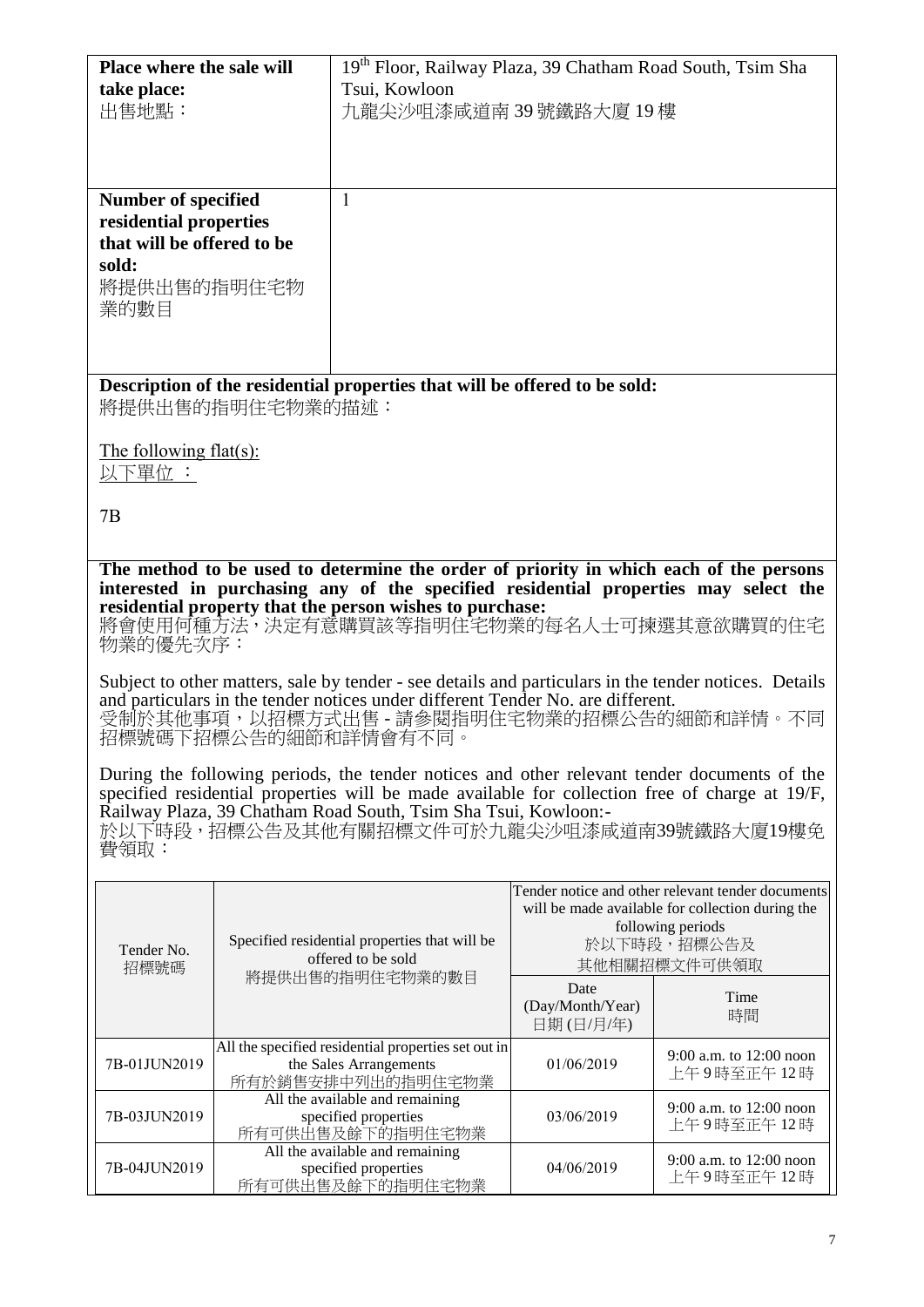| <b>Place where the sale will</b><br>take place:                                                                                                                                                                                                                                                                      |                                                                                                                                                                                                                                                               | 19th Floor, Railway Plaza, 39 Chatham Road South, Tsim Sha<br>Tsui, Kowloon                                                                                                                |                                       |                                                                                                                                                           |  |
|----------------------------------------------------------------------------------------------------------------------------------------------------------------------------------------------------------------------------------------------------------------------------------------------------------------------|---------------------------------------------------------------------------------------------------------------------------------------------------------------------------------------------------------------------------------------------------------------|--------------------------------------------------------------------------------------------------------------------------------------------------------------------------------------------|---------------------------------------|-----------------------------------------------------------------------------------------------------------------------------------------------------------|--|
| 出售地點:                                                                                                                                                                                                                                                                                                                |                                                                                                                                                                                                                                                               | 九龍尖沙咀漆咸道南 39 號鐵路大廈 19 樓                                                                                                                                                                    |                                       |                                                                                                                                                           |  |
|                                                                                                                                                                                                                                                                                                                      |                                                                                                                                                                                                                                                               |                                                                                                                                                                                            |                                       |                                                                                                                                                           |  |
| <b>Number of specified</b><br>residential properties<br>that will be offered to be<br>sold:                                                                                                                                                                                                                          |                                                                                                                                                                                                                                                               | 1                                                                                                                                                                                          |                                       |                                                                                                                                                           |  |
| 將提供出售的指明住宅物<br>業的數目                                                                                                                                                                                                                                                                                                  |                                                                                                                                                                                                                                                               |                                                                                                                                                                                            |                                       |                                                                                                                                                           |  |
|                                                                                                                                                                                                                                                                                                                      |                                                                                                                                                                                                                                                               | Description of the residential properties that will be offered to be sold:                                                                                                                 |                                       |                                                                                                                                                           |  |
|                                                                                                                                                                                                                                                                                                                      | 將提供出售的指明住宅物業的描述:                                                                                                                                                                                                                                              |                                                                                                                                                                                            |                                       |                                                                                                                                                           |  |
| The following $flat(s)$ :<br>以下單位 :                                                                                                                                                                                                                                                                                  |                                                                                                                                                                                                                                                               |                                                                                                                                                                                            |                                       |                                                                                                                                                           |  |
| 7B                                                                                                                                                                                                                                                                                                                   |                                                                                                                                                                                                                                                               |                                                                                                                                                                                            |                                       |                                                                                                                                                           |  |
|                                                                                                                                                                                                                                                                                                                      | The method to be used to determine the order of priority in which each of the persons                                                                                                                                                                         |                                                                                                                                                                                            |                                       |                                                                                                                                                           |  |
| 物業的優先次序:                                                                                                                                                                                                                                                                                                             |                                                                                                                                                                                                                                                               | interested in purchasing any of the specified residential properties may select the<br>residential property that the person wishes to purchase:<br>將會使用何種方法,決定有意購買該等指明住宅物業的每名人士可揀選其意欲購買的住宅 |                                       |                                                                                                                                                           |  |
|                                                                                                                                                                                                                                                                                                                      | Subject to other matters, sale by tender - see details and particulars in the tender notices. Details<br>and particulars in the tender notices under different Tender No. are different.<br>受制於其他事項,以招標方式出售 - 請參閱指明住宅物業的招標公告的細節和詳情。不同<br>招標號碼下招標公告的細節和詳情會有不同。 |                                                                                                                                                                                            |                                       |                                                                                                                                                           |  |
| During the following periods, the tender notices and other relevant tender documents of the<br>specified residential properties will be made available for collection free of charge at 19/F,<br>Railway Plaza, 39 Chatham Road South, Tsim Sha Tsui, Kowloon:-<br>於以下時段,招標公告及其他有關招標文件可於九龍尖沙咀漆咸道南39號鐵路大廈19樓免<br>費領取: |                                                                                                                                                                                                                                                               |                                                                                                                                                                                            |                                       |                                                                                                                                                           |  |
| Tender No.<br>招標號碼                                                                                                                                                                                                                                                                                                   |                                                                                                                                                                                                                                                               | Specified residential properties that will be<br>offered to be sold                                                                                                                        |                                       | Tender notice and other relevant tender documents<br>will be made available for collection during the<br>following periods<br>於以下時段,招標公告及<br>其他相關招標文件可供領取 |  |
|                                                                                                                                                                                                                                                                                                                      |                                                                                                                                                                                                                                                               | 將提供出售的指明住宅物業的數目                                                                                                                                                                            | Date<br>(Day/Month/Year)<br>日期(日/月/年) | Time<br>時間                                                                                                                                                |  |
| 7B-01JUN2019                                                                                                                                                                                                                                                                                                         |                                                                                                                                                                                                                                                               | All the specified residential properties set out in<br>the Sales Arrangements<br>所有於銷售安排中列出的指明住宅物業                                                                                         | 01/06/2019                            | 9:00 a.m. to 12:00 noon<br>上午9時至正午12時                                                                                                                     |  |
|                                                                                                                                                                                                                                                                                                                      |                                                                                                                                                                                                                                                               | All the available and remaining                                                                                                                                                            |                                       | $0.00 \text{ s}$ m to $12.00 \text{ non}$                                                                                                                 |  |

7B-03JUN2019

7B-04JUN2019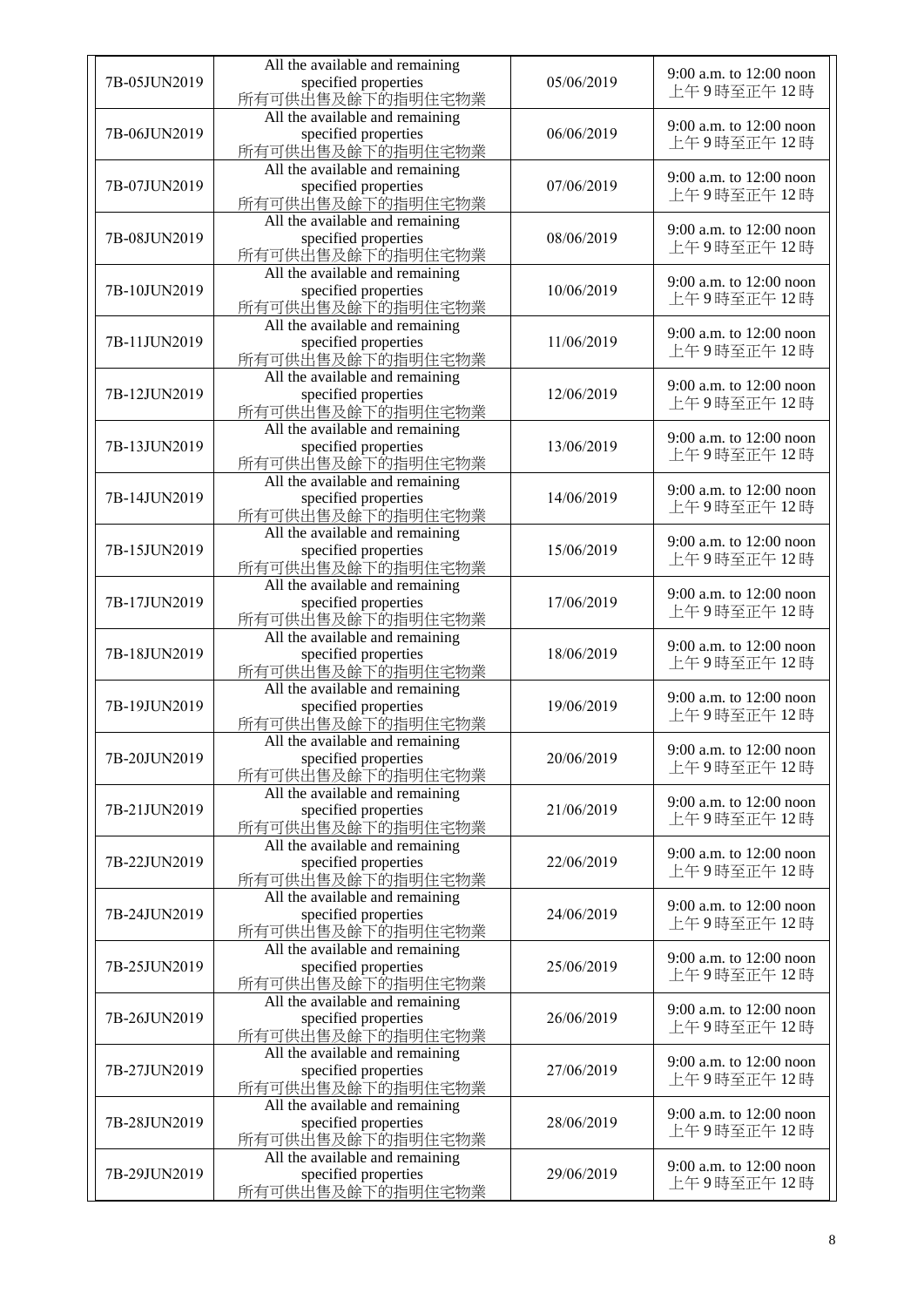| 7B-05JUN2019 | All the available and remaining<br>specified properties<br>所有可供出售及餘下的指明住宅物業 | 05/06/2019 | 9:00 a.m. to 12:00 noon<br>上午9時至正午12時 |
|--------------|-----------------------------------------------------------------------------|------------|---------------------------------------|
| 7B-06JUN2019 | All the available and remaining<br>specified properties<br>所有可供出售及餘下的指明住宅物業 | 06/06/2019 | 9:00 a.m. to 12:00 noon<br>上午9時至正午12時 |
| 7B-07JUN2019 | All the available and remaining<br>specified properties<br>所有可供出售及餘下的指明住宅物業 | 07/06/2019 | 9:00 a.m. to 12:00 noon<br>上午9時至正午12時 |
| 7B-08JUN2019 | All the available and remaining<br>specified properties<br>所有可供出售及餘下的指明住宅物業 | 08/06/2019 | 9:00 a.m. to 12:00 noon<br>上午9時至正午12時 |
| 7B-10JUN2019 | All the available and remaining<br>specified properties<br>所有可供出售及餘下的指明住宅物業 | 10/06/2019 | 9:00 a.m. to 12:00 noon<br>上午9時至正午12時 |
| 7B-11JUN2019 | All the available and remaining<br>specified properties<br>所有可供出售及餘下的指明住宅物業 | 11/06/2019 | 9:00 a.m. to 12:00 noon<br>上午9時至正午12時 |
| 7B-12JUN2019 | All the available and remaining<br>specified properties<br>所有可供出售及餘下的指明住宅物業 | 12/06/2019 | 9:00 a.m. to 12:00 noon<br>上午9時至正午12時 |
| 7B-13JUN2019 | All the available and remaining<br>specified properties<br>所有可供出售及餘下的指明住宅物業 | 13/06/2019 | 9:00 a.m. to 12:00 noon<br>上午9時至正午12時 |
| 7B-14JUN2019 | All the available and remaining<br>specified properties<br>所有可供出售及餘下的指明住宅物業 | 14/06/2019 | 9:00 a.m. to 12:00 noon<br>上午9時至正午12時 |
| 7B-15JUN2019 | All the available and remaining<br>specified properties<br>所有可供出售及餘下的指明住宅物業 | 15/06/2019 | 9:00 a.m. to 12:00 noon<br>上午9時至正午12時 |
| 7B-17JUN2019 | All the available and remaining<br>specified properties<br>所有可供出售及餘下的指明住宅物業 | 17/06/2019 | 9:00 a.m. to 12:00 noon<br>上午9時至正午12時 |
| 7B-18JUN2019 | All the available and remaining<br>specified properties<br>所有可供出售及餘下的指明住宅物業 | 18/06/2019 | 9:00 a.m. to 12:00 noon<br>上午9時至正午12時 |
| 7B-19JUN2019 | All the available and remaining<br>specified properties<br>所有可供出售及餘下的指明住宅物業 | 19/06/2019 | 9:00 a.m. to 12:00 noon<br>上午9時至正午12時 |
| 7B-20JUN2019 | All the available and remaining<br>specified properties<br>所有可供出售及餘下的指明住宅物業 | 20/06/2019 | 9:00 a.m. to 12:00 noon<br>上午9時至正午12時 |
| 7B-21JUN2019 | All the available and remaining<br>specified properties<br>所有可供出售及餘下的指明住宅物業 | 21/06/2019 | 9:00 a.m. to 12:00 noon<br>上午9時至正午12時 |
| 7B-22JUN2019 | All the available and remaining<br>specified properties<br>所有可供出售及餘下的指明住宅物業 | 22/06/2019 | 9:00 a.m. to 12:00 noon<br>上午9時至正午12時 |
| 7B-24JUN2019 | All the available and remaining<br>specified properties<br>所有可供出售及餘下的指明住宅物業 | 24/06/2019 | 9:00 a.m. to 12:00 noon<br>上午9時至正午12時 |
| 7B-25JUN2019 | All the available and remaining<br>specified properties<br>所有可供山售及餘下的指明住宅物業 | 25/06/2019 | 9:00 a.m. to 12:00 noon<br>上午9時至正午12時 |
| 7B-26JUN2019 | All the available and remaining<br>specified properties<br>所有可供出售及餘下的指明住宅物業 | 26/06/2019 | 9:00 a.m. to 12:00 noon<br>上午9時至正午12時 |
| 7B-27JUN2019 | All the available and remaining<br>specified properties<br>所有可供出售及餘下的指明住宅物業 | 27/06/2019 | 9:00 a.m. to 12:00 noon<br>上午9時至正午12時 |
| 7B-28JUN2019 | All the available and remaining<br>specified properties<br>所有可供出售及餘下的指明住宅物業 | 28/06/2019 | 9:00 a.m. to 12:00 noon<br>上午9時至正午12時 |
| 7B-29JUN2019 | All the available and remaining<br>specified properties<br>所有可供出售及餘下的指明住宅物業 | 29/06/2019 | 9:00 a.m. to 12:00 noon<br>上午9時至正午12時 |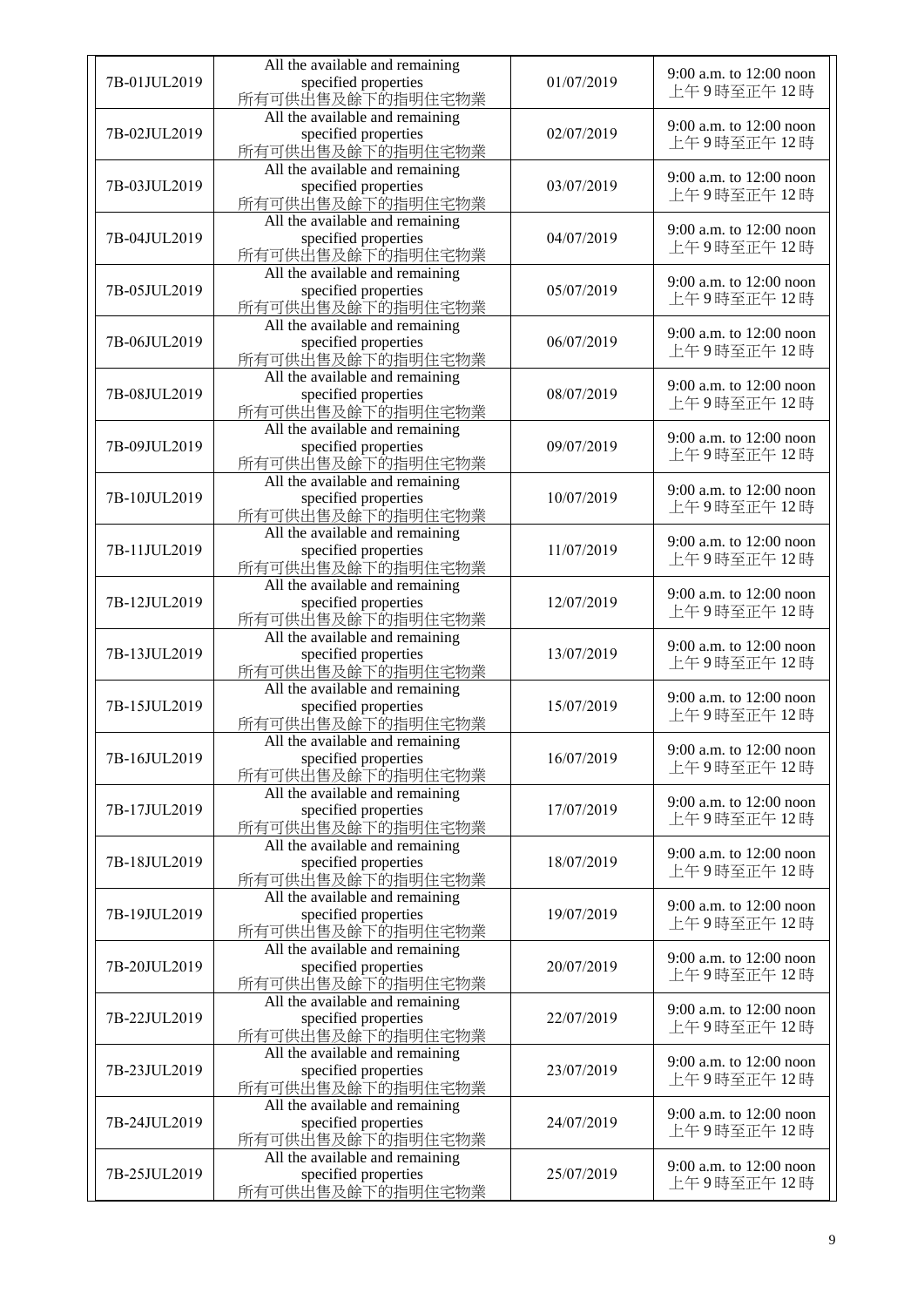| 7B-01JUL2019 | All the available and remaining<br>specified properties                     | 01/07/2019 | 9:00 a.m. to 12:00 noon<br>上午9時至正午12時 |
|--------------|-----------------------------------------------------------------------------|------------|---------------------------------------|
| 7B-02JUL2019 | 所有可供出售及餘下的指明住宅物業<br>All the available and remaining<br>specified properties | 02/07/2019 | 9:00 a.m. to 12:00 noon               |
|              | 所有可供出售及餘下的指明住宅物業<br>All the available and remaining                         |            | 上午9時至正午12時<br>9:00 a.m. to 12:00 noon |
| 7B-03JUL2019 | specified properties<br>所有可供出售及餘下的指明住宅物業<br>All the available and remaining | 03/07/2019 | 上午9時至正午12時                            |
| 7B-04JUL2019 | specified properties<br>所有可供出售及餘下的指明住宅物業                                    | 04/07/2019 | 9:00 a.m. to 12:00 noon<br>上午9時至正午12時 |
| 7B-05JUL2019 | All the available and remaining<br>specified properties<br>所有可供出售及餘下的指明住宅物業 | 05/07/2019 | 9:00 a.m. to 12:00 noon<br>上午9時至正午12時 |
| 7B-06JUL2019 | All the available and remaining<br>specified properties<br>所有可供出售及餘下的指明住宅物業 | 06/07/2019 | 9:00 a.m. to 12:00 noon<br>上午9時至正午12時 |
| 7B-08JUL2019 | All the available and remaining<br>specified properties<br>所有可供出售及餘下的指明住宅物業 | 08/07/2019 | 9:00 a.m. to 12:00 noon<br>上午9時至正午12時 |
| 7B-09JUL2019 | All the available and remaining<br>specified properties<br>所有可供出售及餘下的指明住宅物業 | 09/07/2019 | 9:00 a.m. to 12:00 noon<br>上午9時至正午12時 |
| 7B-10JUL2019 | All the available and remaining<br>specified properties<br>所有可供出售及餘下的指明住宅物業 | 10/07/2019 | 9:00 a.m. to 12:00 noon<br>上午9時至正午12時 |
| 7B-11JUL2019 | All the available and remaining<br>specified properties<br>所有可供出售及餘下的指明住宅物業 | 11/07/2019 | 9:00 a.m. to 12:00 noon<br>上午9時至正午12時 |
| 7B-12JUL2019 | All the available and remaining<br>specified properties<br>所有可供出售及餘下的指明住宅物業 | 12/07/2019 | 9:00 a.m. to 12:00 noon<br>上午9時至正午12時 |
| 7B-13JUL2019 | All the available and remaining<br>specified properties<br>所有可供出售及餘下的指明住宅物業 | 13/07/2019 | 9:00 a.m. to 12:00 noon<br>上午9時至正午12時 |
| 7B-15JUL2019 | All the available and remaining<br>specified properties<br>所有可供出售及餘下的指明住宅物業 | 15/07/2019 | 9:00 a.m. to 12:00 noon<br>上午9時至正午12時 |
| 7B-16JUL2019 | All the available and remaining<br>specified properties<br>所有可供出售及餘下的指明住宅物業 | 16/07/2019 | 9:00 a.m. to 12:00 noon<br>上午9時至正午12時 |
| 7B-17JUL2019 | All the available and remaining<br>specified properties<br>所有可供出售及餘下的指明住宅物業 | 17/07/2019 | 9:00 a.m. to 12:00 noon<br>上午9時至正午12時 |
| 7B-18JUL2019 | All the available and remaining<br>specified properties<br>所有可供出售及餘下的指明住宅物業 | 18/07/2019 | 9:00 a.m. to 12:00 noon<br>上午9時至正午12時 |
| 7B-19JUL2019 | All the available and remaining<br>specified properties<br>所有可供出售及餘下的指明住宅物業 | 19/07/2019 | 9:00 a.m. to 12:00 noon<br>上午9時至正午12時 |
| 7B-20JUL2019 | All the available and remaining<br>specified properties<br>所有可供出售及餘下的指明住宅物業 | 20/07/2019 | 9:00 a.m. to 12:00 noon<br>上午9時至正午12時 |
| 7B-22JUL2019 | All the available and remaining<br>specified properties<br>所有可供出售及餘下的指明住宅物業 | 22/07/2019 | 9:00 a.m. to 12:00 noon<br>上午9時至正午12時 |
| 7B-23JUL2019 | All the available and remaining<br>specified properties<br>所有可供出售及餘下的指明住宅物業 | 23/07/2019 | 9:00 a.m. to 12:00 noon<br>上午9時至正午12時 |
| 7B-24JUL2019 | All the available and remaining<br>specified properties<br>所有可供出售及餘下的指明住宅物業 | 24/07/2019 | 9:00 a.m. to 12:00 noon<br>上午9時至正午12時 |
| 7B-25JUL2019 | All the available and remaining<br>specified properties<br>所有可供出售及餘下的指明住宅物業 | 25/07/2019 | 9:00 a.m. to 12:00 noon<br>上午9時至正午12時 |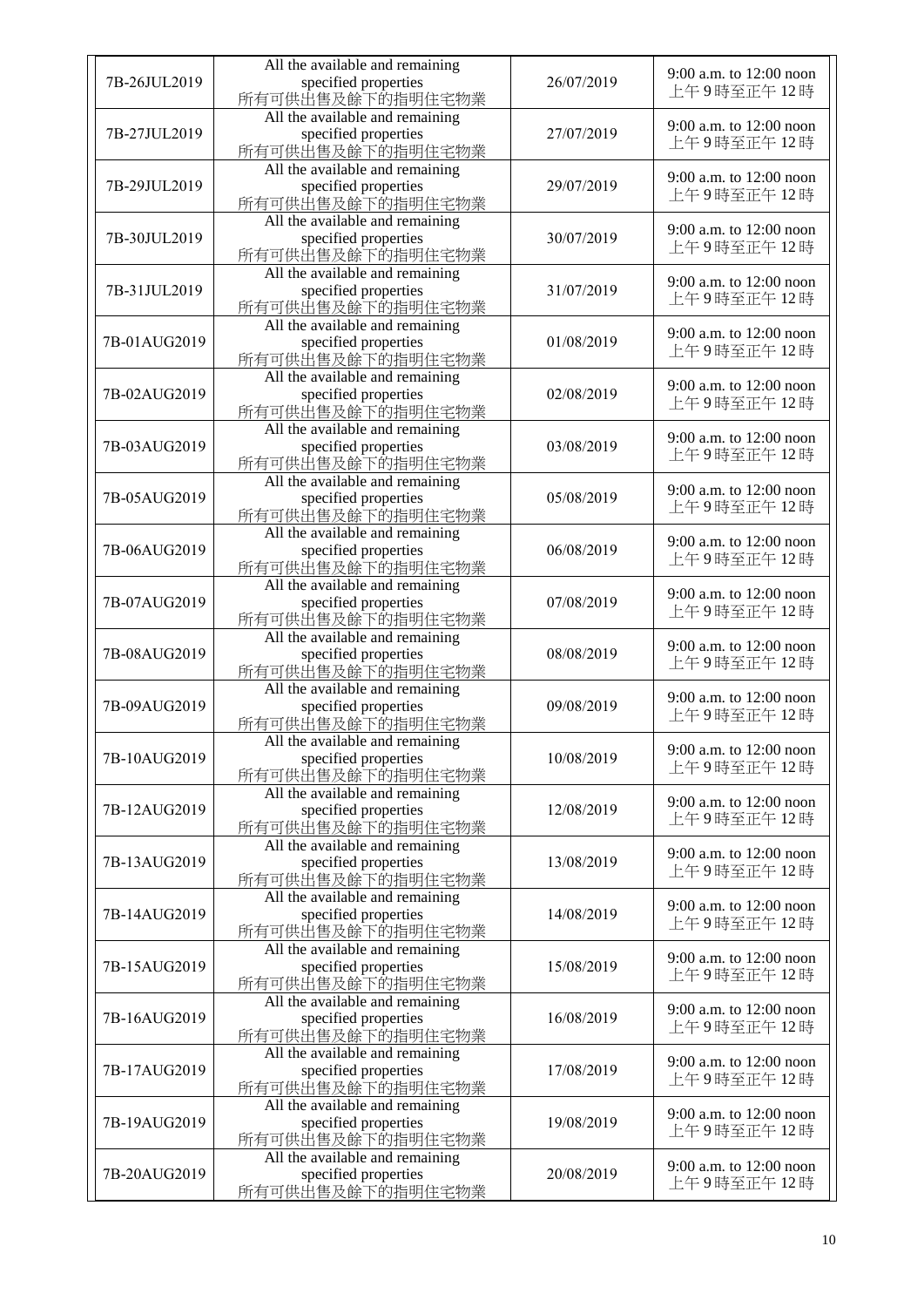| 7B-26JUL2019 | All the available and remaining<br>specified properties                     | 26/07/2019 | 9:00 a.m. to 12:00 noon               |
|--------------|-----------------------------------------------------------------------------|------------|---------------------------------------|
|              | 所有可供出售及餘下的指明住宅物業                                                            |            | 上午9時至正午12時                            |
| 7B-27JUL2019 | All the available and remaining<br>specified properties<br>所有可供出售及餘下的指明住宅物業 | 27/07/2019 | 9:00 a.m. to 12:00 noon<br>上午9時至正午12時 |
| 7B-29JUL2019 | All the available and remaining<br>specified properties<br>所有可供出售及餘下的指明住宅物業 | 29/07/2019 | 9:00 a.m. to 12:00 noon<br>上午9時至正午12時 |
| 7B-30JUL2019 | All the available and remaining<br>specified properties<br>所有可供出售及餘下的指明住宅物業 | 30/07/2019 | 9:00 a.m. to 12:00 noon<br>上午9時至正午12時 |
| 7B-31JUL2019 | All the available and remaining<br>specified properties<br>所有可供出售及餘下的指明住宅物業 | 31/07/2019 | 9:00 a.m. to 12:00 noon<br>上午9時至正午12時 |
| 7B-01AUG2019 | All the available and remaining<br>specified properties<br>所有可供出售及餘下的指明住宅物業 | 01/08/2019 | 9:00 a.m. to 12:00 noon<br>上午9時至正午12時 |
| 7B-02AUG2019 | All the available and remaining<br>specified properties<br>所有可供出售及餘下的指明住宅物業 | 02/08/2019 | 9:00 a.m. to 12:00 noon<br>上午9時至正午12時 |
| 7B-03AUG2019 | All the available and remaining<br>specified properties<br>所有可供出售及餘下的指明住宅物業 | 03/08/2019 | 9:00 a.m. to 12:00 noon<br>上午9時至正午12時 |
| 7B-05AUG2019 | All the available and remaining<br>specified properties<br>所有可供出售及餘下的指明住宅物業 | 05/08/2019 | 9:00 a.m. to 12:00 noon<br>上午9時至正午12時 |
| 7B-06AUG2019 | All the available and remaining<br>specified properties<br>所有可供出售及餘下的指明住宅物業 | 06/08/2019 | 9:00 a.m. to 12:00 noon<br>上午9時至正午12時 |
| 7B-07AUG2019 | All the available and remaining<br>specified properties<br>所有可供出售及餘下的指明住宅物業 | 07/08/2019 | 9:00 a.m. to 12:00 noon<br>上午9時至正午12時 |
| 7B-08AUG2019 | All the available and remaining<br>specified properties<br>所有可供出售及餘下的指明住宅物業 | 08/08/2019 | 9:00 a.m. to 12:00 noon<br>上午9時至正午12時 |
| 7B-09AUG2019 | All the available and remaining<br>specified properties<br>所有可供出售及餘下的指明住宅物業 | 09/08/2019 | 9:00 a.m. to 12:00 noon<br>上午9時至正午12時 |
| 7B-10AUG2019 | All the available and remaining<br>specified properties<br>所有可供出售及餘下的指明住宅物業 | 10/08/2019 | 9:00 a.m. to 12:00 noon<br>上午9時至正午12時 |
| 7B-12AUG2019 | All the available and remaining<br>specified properties<br>所有可供出售及餘下的指明住宅物業 | 12/08/2019 | 9:00 a.m. to 12:00 noon<br>上午9時至正午12時 |
| 7B-13AUG2019 | All the available and remaining<br>specified properties<br>所有可供出售及餘下的指明住宅物業 | 13/08/2019 | 9:00 a.m. to 12:00 noon<br>上午9時至正午12時 |
| 7B-14AUG2019 | All the available and remaining<br>specified properties<br>所有可供出售及餘下的指明住宅物業 | 14/08/2019 | 9:00 a.m. to 12:00 noon<br>上午9時至正午12時 |
| 7B-15AUG2019 | All the available and remaining<br>specified properties<br>所有可供出售及餘下的指明住宅物業 | 15/08/2019 | 9:00 a.m. to 12:00 noon<br>上午9時至正午12時 |
| 7B-16AUG2019 | All the available and remaining<br>specified properties<br>所有可供出售及餘下的指明住宅物業 | 16/08/2019 | 9:00 a.m. to 12:00 noon<br>上午9時至正午12時 |
| 7B-17AUG2019 | All the available and remaining<br>specified properties<br>所有可供出售及餘下的指明住宅物業 | 17/08/2019 | 9:00 a.m. to 12:00 noon<br>上午9時至正午12時 |
| 7B-19AUG2019 | All the available and remaining<br>specified properties<br>所有可供出售及餘下的指明住宅物業 | 19/08/2019 | 9:00 a.m. to 12:00 noon<br>上午9時至正午12時 |
| 7B-20AUG2019 | All the available and remaining<br>specified properties<br>所有可供出售及餘下的指明住宅物業 | 20/08/2019 | 9:00 a.m. to 12:00 noon<br>上午9時至正午12時 |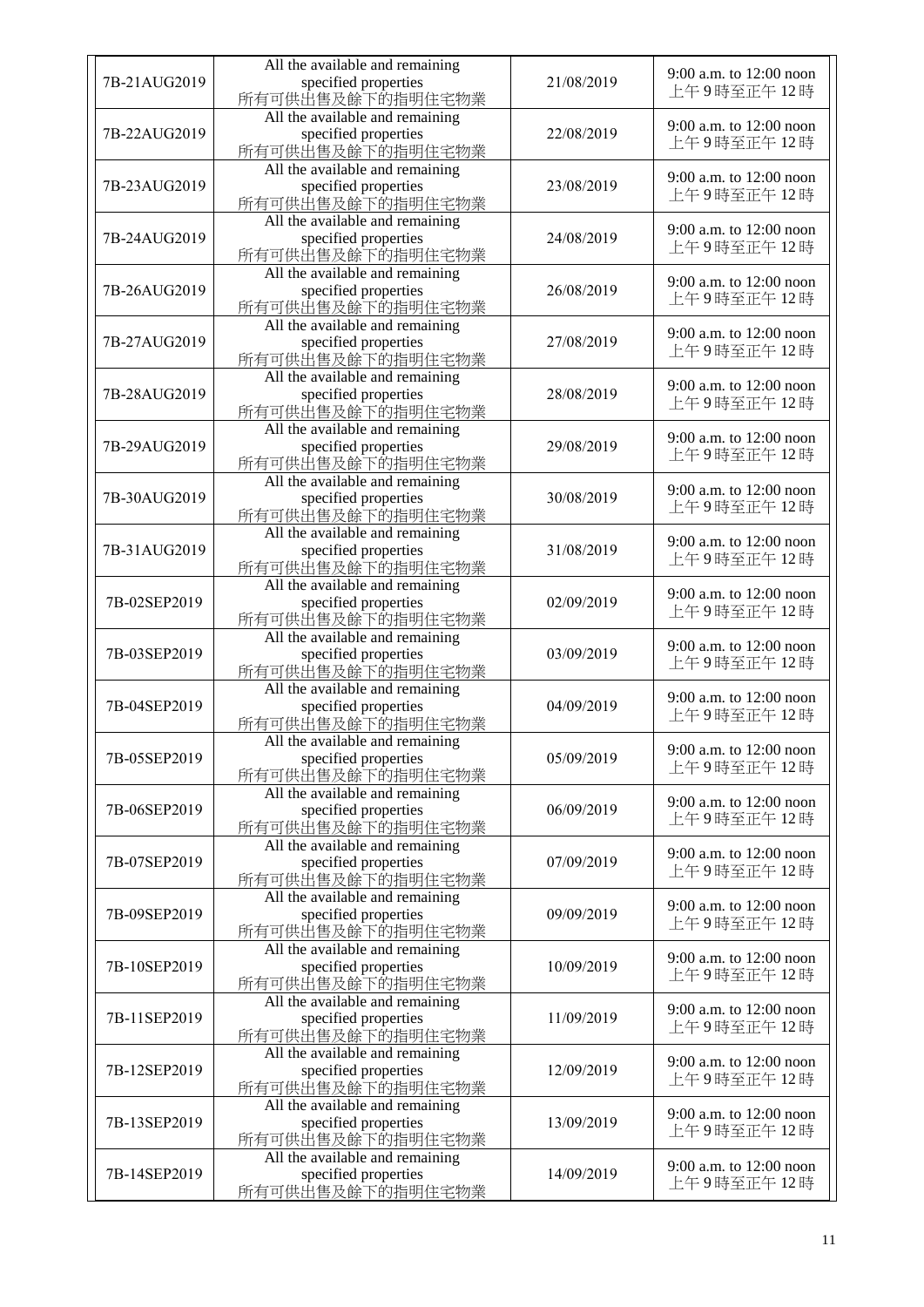| 7B-21AUG2019 | All the available and remaining<br>specified properties<br>所有可供出售及餘下的指明住宅物業 | 21/08/2019 | 9:00 a.m. to 12:00 noon<br>上午9時至正午12時 |
|--------------|-----------------------------------------------------------------------------|------------|---------------------------------------|
| 7B-22AUG2019 | All the available and remaining<br>specified properties<br>所有可供出售及餘下的指明住宅物業 | 22/08/2019 | 9:00 a.m. to 12:00 noon<br>上午9時至正午12時 |
| 7B-23AUG2019 | All the available and remaining<br>specified properties<br>所有可供出售及餘下的指明住宅物業 | 23/08/2019 | 9:00 a.m. to 12:00 noon<br>上午9時至正午12時 |
| 7B-24AUG2019 | All the available and remaining<br>specified properties<br>所有可供出售及餘下的指明住宅物業 | 24/08/2019 | 9:00 a.m. to 12:00 noon<br>上午9時至正午12時 |
| 7B-26AUG2019 | All the available and remaining<br>specified properties<br>所有可供出售及餘下的指明住宅物業 | 26/08/2019 | 9:00 a.m. to 12:00 noon<br>上午9時至正午12時 |
| 7B-27AUG2019 | All the available and remaining<br>specified properties<br>所有可供出售及餘下的指明住宅物業 | 27/08/2019 | 9:00 a.m. to 12:00 noon<br>上午9時至正午12時 |
| 7B-28AUG2019 | All the available and remaining<br>specified properties<br>所有可供出售及餘下的指明住宅物業 | 28/08/2019 | 9:00 a.m. to 12:00 noon<br>上午9時至正午12時 |
| 7B-29AUG2019 | All the available and remaining<br>specified properties<br>所有可供出售及餘下的指明住宅物業 | 29/08/2019 | 9:00 a.m. to 12:00 noon<br>上午9時至正午12時 |
| 7B-30AUG2019 | All the available and remaining<br>specified properties<br>所有可供出售及餘下的指明住宅物業 | 30/08/2019 | 9:00 a.m. to 12:00 noon<br>上午9時至正午12時 |
| 7B-31AUG2019 | All the available and remaining<br>specified properties<br>所有可供出售及餘下的指明住宅物業 | 31/08/2019 | 9:00 a.m. to 12:00 noon<br>上午9時至正午12時 |
| 7B-02SEP2019 | All the available and remaining<br>specified properties<br>所有可供出售及餘下的指明住宅物業 | 02/09/2019 | 9:00 a.m. to 12:00 noon<br>上午9時至正午12時 |
| 7B-03SEP2019 | All the available and remaining<br>specified properties<br>所有可供出售及餘下的指明住宅物業 | 03/09/2019 | 9:00 a.m. to 12:00 noon<br>上午9時至正午12時 |
| 7B-04SEP2019 | All the available and remaining<br>specified properties<br>所有可供出售及餘下的指明住宅物業 | 04/09/2019 | 9:00 a.m. to 12:00 noon<br>上午9時至正午12時 |
| 7B-05SEP2019 | All the available and remaining<br>specified properties<br>所有可供出售及餘下的指明住宅物業 | 05/09/2019 | 9:00 a.m. to 12:00 noon<br>上午9時至正午12時 |
| 7B-06SEP2019 | All the available and remaining<br>specified properties<br>所有可供出售及餘下的指明住宅物業 | 06/09/2019 | 9:00 a.m. to 12:00 noon<br>上午9時至正午12時 |
| 7B-07SEP2019 | All the available and remaining<br>specified properties<br>所有可供出售及餘下的指明住宅物業 | 07/09/2019 | 9:00 a.m. to 12:00 noon<br>上午9時至正午12時 |
| 7B-09SEP2019 | All the available and remaining<br>specified properties<br>所有可供出售及餘下的指明住宅物業 | 09/09/2019 | 9:00 a.m. to 12:00 noon<br>上午9時至正午12時 |
| 7B-10SEP2019 | All the available and remaining<br>specified properties<br>所有可供出售及餘下的指明住宅物業 | 10/09/2019 | 9:00 a.m. to 12:00 noon<br>上午9時至正午12時 |
| 7B-11SEP2019 | All the available and remaining<br>specified properties<br>所有可供出售及餘下的指明住宅物業 | 11/09/2019 | 9:00 a.m. to 12:00 noon<br>上午9時至正午12時 |
| 7B-12SEP2019 | All the available and remaining<br>specified properties<br>所有可供出售及餘下的指明住宅物業 | 12/09/2019 | 9:00 a.m. to 12:00 noon<br>上午9時至正午12時 |
| 7B-13SEP2019 | All the available and remaining<br>specified properties<br>所有可供出售及餘下的指明住宅物業 | 13/09/2019 | 9:00 a.m. to 12:00 noon<br>上午9時至正午12時 |
| 7B-14SEP2019 | All the available and remaining<br>specified properties<br>所有可供出售及餘下的指明住宅物業 | 14/09/2019 | 9:00 a.m. to 12:00 noon<br>上午9時至正午12時 |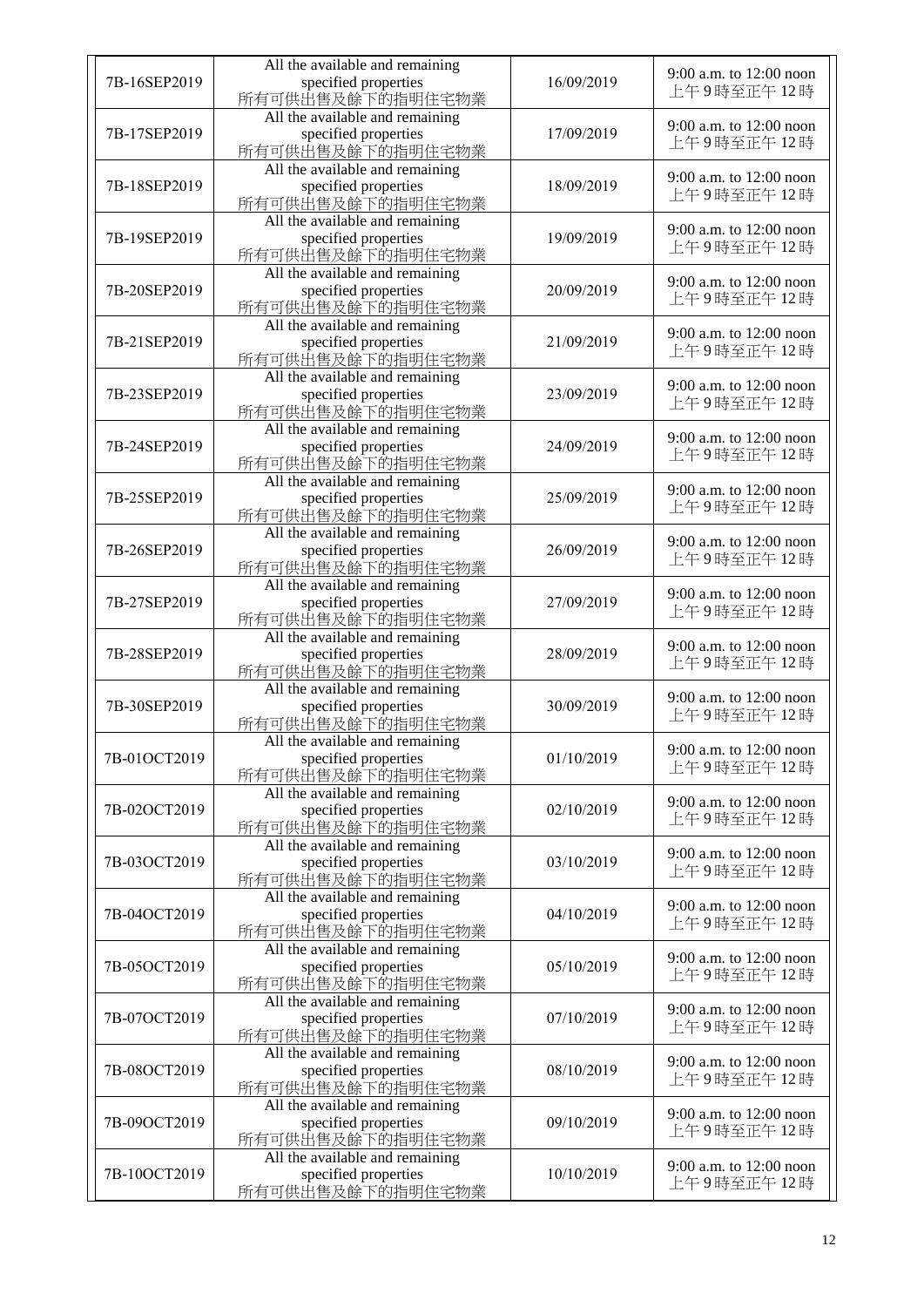|              | All the available and remaining |            |                         |
|--------------|---------------------------------|------------|-------------------------|
| 7B-16SEP2019 | specified properties            | 16/09/2019 | 9:00 a.m. to 12:00 noon |
|              | 所有可供出售及餘下的指明住宅物業                |            | 上午9時至正午12時              |
|              | All the available and remaining |            |                         |
| 7B-17SEP2019 | specified properties            | 17/09/2019 | 9:00 a.m. to 12:00 noon |
|              | 所有可供出售及餘下的指明住宅物業                |            | 上午9時至正午12時              |
|              |                                 |            |                         |
|              | All the available and remaining |            | 9:00 a.m. to 12:00 noon |
| 7B-18SEP2019 | specified properties            | 18/09/2019 | 上午9時至正午12時              |
|              | 所有可供出售及餘下的指明住宅物業                |            |                         |
|              | All the available and remaining |            | 9:00 a.m. to 12:00 noon |
| 7B-19SEP2019 | specified properties            | 19/09/2019 | 上午9時至正午12時              |
|              | 所有可供出售及餘下的指明住宅物業                |            |                         |
|              | All the available and remaining |            |                         |
| 7B-20SEP2019 | specified properties            | 20/09/2019 | 9:00 a.m. to 12:00 noon |
|              | 所有可供出售及餘下的指明住宅物業                |            | 上午9時至正午12時              |
|              | All the available and remaining |            |                         |
| 7B-21SEP2019 | specified properties            | 21/09/2019 | 9:00 a.m. to 12:00 noon |
|              | 所有可供出售及餘下的指明住宅物業                |            | 上午9時至正午12時              |
|              | All the available and remaining |            |                         |
| 7B-23SEP2019 |                                 | 23/09/2019 | 9:00 a.m. to 12:00 noon |
|              | specified properties            |            | 上午9時至正午12時              |
|              | 所有可供出售及餘下的指明住宅物業                |            |                         |
|              | All the available and remaining |            | 9:00 a.m. to 12:00 noon |
| 7B-24SEP2019 | specified properties            | 24/09/2019 | 上午9時至正午12時              |
|              | 所有可供出售及餘下的指明住宅物業                |            |                         |
|              | All the available and remaining |            | 9:00 a.m. to 12:00 noon |
| 7B-25SEP2019 | specified properties            | 25/09/2019 | 上午9時至正午12時              |
|              | 所有可供出售及餘下的指明住宅物業                |            |                         |
|              | All the available and remaining |            |                         |
| 7B-26SEP2019 | specified properties            | 26/09/2019 | 9:00 a.m. to 12:00 noon |
|              | 所有可供出售及餘下的指明住宅物業                |            | 上午9時至正午12時              |
|              | All the available and remaining |            |                         |
| 7B-27SEP2019 | specified properties            | 27/09/2019 | 9:00 a.m. to 12:00 noon |
|              | 所有可供出售及餘下的指明住宅物業                |            | 上午9時至正午12時              |
|              | All the available and remaining |            |                         |
| 7B-28SEP2019 | specified properties            | 28/09/2019 | 9:00 a.m. to 12:00 noon |
|              | 所有可供出售及餘下的指明住宅物業                |            | 上午9時至正午12時              |
|              | All the available and remaining |            |                         |
| 7B-30SEP2019 |                                 | 30/09/2019 | 9:00 a.m. to 12:00 noon |
|              | specified properties            |            | 上午9時至正午12時              |
|              | 所有可供出售及餘下的指明住宅物業                |            |                         |
|              | All the available and remaining |            | 9:00 a.m. to 12:00 noon |
| 7B-01OCT2019 | specified properties            | 01/10/2019 | 上午9時至正午12時              |
|              | 所有可供出售及餘下的指明住宅物業                |            |                         |
|              | All the available and remaining |            | 9:00 a.m. to 12:00 noon |
| 7B-02OCT2019 | specified properties            | 02/10/2019 | 上午9時至正午12時              |
|              | 所有可供出售及餘下的指明住宅物業                |            |                         |
|              | All the available and remaining |            | 9:00 a.m. to 12:00 noon |
| 7B-03OCT2019 | specified properties            | 03/10/2019 | 上午9時至正午12時              |
|              | 所有可供出售及餘下的指明住宅物業                |            |                         |
|              | All the available and remaining |            |                         |
| 7B-04OCT2019 | specified properties            | 04/10/2019 | 9:00 a.m. to 12:00 noon |
|              | 所有可供出售及餘下的指明住宅物業                |            | 上午9時至正午12時              |
|              | All the available and remaining |            |                         |
| 7B-05OCT2019 | specified properties            | 05/10/2019 | 9:00 a.m. to 12:00 noon |
|              | 所有可供山售及餘下的指明住宅物業                |            | 上午9時至正午12時              |
|              | All the available and remaining |            |                         |
| 7B-07OCT2019 | specified properties            | 07/10/2019 | 9:00 a.m. to 12:00 noon |
|              | 所有可供出售及餘下的指明住宅物業                |            | 上午9時至正午12時              |
|              |                                 |            |                         |
|              | All the available and remaining |            | 9:00 a.m. to 12:00 noon |
| 7B-08OCT2019 | specified properties            | 08/10/2019 | 上午9時至正午12時              |
|              | 所有可供出售及餘下的指明住宅物業                |            |                         |
|              | All the available and remaining |            | 9:00 a.m. to 12:00 noon |
| 7B-09OCT2019 | specified properties            | 09/10/2019 | 上午9時至正午12時              |
|              | 所有可供出售及餘下的指明住宅物業                |            |                         |
|              | All the available and remaining |            | 9:00 a.m. to 12:00 noon |
| 7B-10OCT2019 | specified properties            | 10/10/2019 | 上午9時至正午12時              |
|              | 所有可供出售及餘下的指明住宅物業                |            |                         |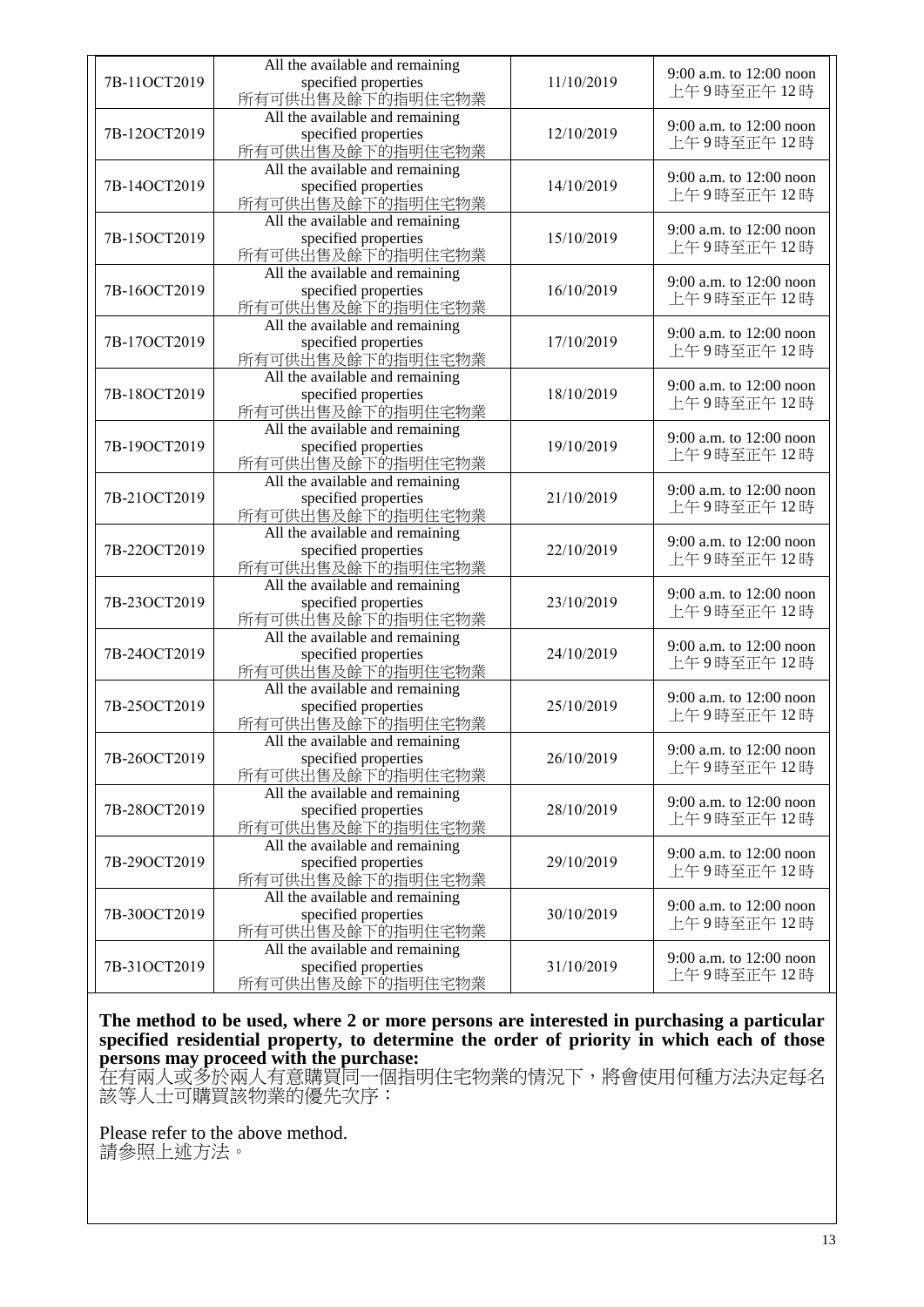|              | All the available and remaining                                             |            |                                       |
|--------------|-----------------------------------------------------------------------------|------------|---------------------------------------|
| 7B-11OCT2019 | specified properties<br>所有可供出售及餘下的指明住宅物業                                    | 11/10/2019 | 9:00 a.m. to 12:00 noon<br>上午9時至正午12時 |
| 7B-12OCT2019 | All the available and remaining<br>specified properties<br>所有可供出售及餘下的指明住宅物業 | 12/10/2019 | 9:00 a.m. to 12:00 noon<br>上午9時至正午12時 |
| 7B-14OCT2019 | All the available and remaining<br>specified properties<br>所有可供出售及餘下的指明住宅物業 | 14/10/2019 | 9:00 a.m. to 12:00 noon<br>上午9時至正午12時 |
| 7B-15OCT2019 | All the available and remaining<br>specified properties<br>所有可供出售及餘下的指明住宅物業 | 15/10/2019 | 9:00 a.m. to 12:00 noon<br>上午9時至正午12時 |
| 7B-16OCT2019 | All the available and remaining<br>specified properties<br>所有可供出售及餘下的指明住宅物業 | 16/10/2019 | 9:00 a.m. to 12:00 noon<br>上午9時至正午12時 |
| 7B-17OCT2019 | All the available and remaining<br>specified properties<br>所有可供出售及餘下的指明住宅物業 | 17/10/2019 | 9:00 a.m. to 12:00 noon<br>上午9時至正午12時 |
| 7B-18OCT2019 | All the available and remaining<br>specified properties<br>所有可供出售及餘下的指明住宅物業 | 18/10/2019 | 9:00 a.m. to 12:00 noon<br>上午9時至正午12時 |
| 7B-19OCT2019 | All the available and remaining<br>specified properties<br>所有可供出售及餘下的指明住宅物業 | 19/10/2019 | 9:00 a.m. to 12:00 noon<br>上午9時至正午12時 |
| 7B-21OCT2019 | All the available and remaining<br>specified properties<br>所有可供出售及餘下的指明住宅物業 | 21/10/2019 | 9:00 a.m. to 12:00 noon<br>上午9時至正午12時 |
| 7B-22OCT2019 | All the available and remaining<br>specified properties<br>所有可供出售及餘下的指明住宅物業 | 22/10/2019 | 9:00 a.m. to 12:00 noon<br>上午9時至正午12時 |
| 7B-23OCT2019 | All the available and remaining<br>specified properties<br>所有可供出售及餘下的指明住宅物業 | 23/10/2019 | 9:00 a.m. to 12:00 noon<br>上午9時至正午12時 |
| 7B-24OCT2019 | All the available and remaining<br>specified properties<br>所有可供出售及餘下的指明住宅物業 | 24/10/2019 | 9:00 a.m. to 12:00 noon<br>上午9時至正午12時 |
| 7B-25OCT2019 | All the available and remaining<br>specified properties<br>所有可供出售及餘下的指明住宅物業 | 25/10/2019 | 9:00 a.m. to 12:00 noon<br>上午9時至正午12時 |
| 7B-26OCT2019 | All the available and remaining<br>specified properties<br>所有可供出售及餘下的指明住宅物業 | 26/10/2019 | 9:00 a.m. to 12:00 noon<br>上午9時至正午12時 |
| 7B-28OCT2019 | All the available and remaining<br>specified properties<br>所有可供出售及餘下的指明住宅物業 | 28/10/2019 | 9:00 a.m. to 12:00 noon<br>上午9時至正午12時 |
| 7B-29OCT2019 | All the available and remaining<br>specified properties<br>所有可供出售及餘下的指明住宅物業 | 29/10/2019 | 9:00 a.m. to 12:00 noon<br>上午9時至正午12時 |
| 7B-30OCT2019 | All the available and remaining<br>specified properties<br>所有可供出售及餘下的指明住宅物業 | 30/10/2019 | 9:00 a.m. to 12:00 noon<br>上午9時至正午12時 |
| 7B-31OCT2019 | All the available and remaining<br>specified properties<br>所有可供出售及餘下的指明住宅物業 | 31/10/2019 | 9:00 a.m. to 12:00 noon<br>上午9時至正午12時 |

**The method to be used, where 2 or more persons are interested in purchasing a particular specified residential property, to determine the order of priority in which each of those persons may proceed with the purchase:**

在有兩人或多於兩人有意購買同一個指明住宅物業的情況下,將會使用何種方法決定每名 該等人士可購買該物業的優先次序:

Please refer to the above method. 請參照上述方法。